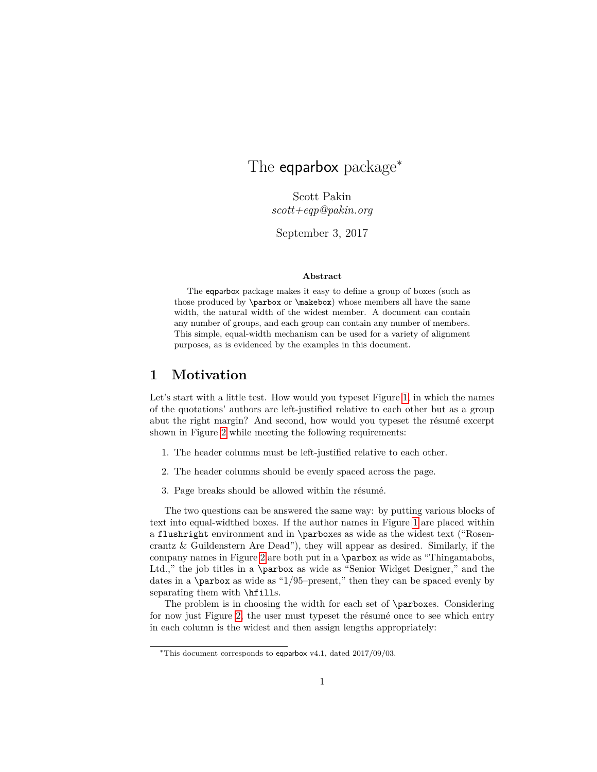# <span id="page-0-0"></span>The **eqparbox** package<sup>\*</sup>

Scott Pakin *scott+eqp@pakin.org*

September 3, 2017

#### **Abstract**

The eqparbox package makes it easy to define a group of boxes (such as those produced by \parbox or \makebox) whose members all have the same width, the natural width of the widest member. A document can contain any number of groups, and each group can contain any number of members. This simple, equal-width mechanism can be used for a variety of alignment purposes, as is evidenced by the examples in this document.

## **1 Motivation**

Let's start with a little test. How would you typeset Figure [1,](#page-1-0) in which the names of the quotations' authors are left-justified relative to each other but as a group abut the right margin? And second, how would you typeset the résumé excerpt shown in Figure [2](#page-2-0) while meeting the following requirements:

- 1. The header columns must be left-justified relative to each other.
- 2. The header columns should be evenly spaced across the page.
- 3. Page breaks should be allowed within the résumé.

The two questions can be answered the same way: by putting various blocks of text into equal-widthed boxes. If the author names in Figure [1](#page-1-0) are placed within a flushright environment and in \parboxes as wide as the widest text ("Rosencrantz & Guildenstern Are Dead"), they will appear as desired. Similarly, if the company names in Figure [2](#page-2-0) are both put in a \parbox as wide as "Thingamabobs, Ltd.," the job titles in a \parbox as wide as "Senior Widget Designer," and the dates in a  $\partlength{\cdotp} 1/95–present,"$  then they can be spaced evenly by separating them with **\hfills**.

The problem is in choosing the width for each set of \parboxes. Considering for now just Figure [2,](#page-2-0) the user must typeset the résumé once to see which entry in each column is the widest and then assign lengths appropriately:

<sup>∗</sup>This document corresponds to eqparbox v4.1, dated 2017/09/03.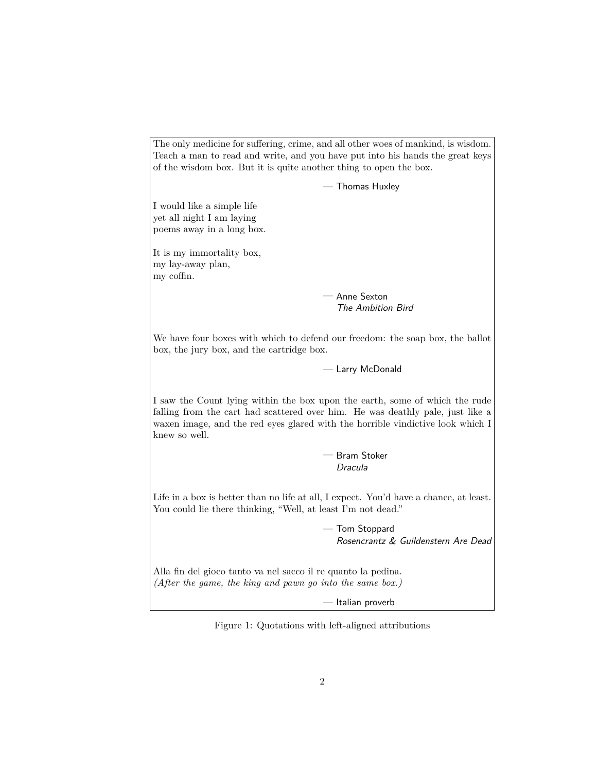<span id="page-1-0"></span>The only medicine for suffering, crime, and all other woes of mankind, is wisdom. Teach a man to read and write, and you have put into his hands the great keys of the wisdom box. But it is quite another thing to open the box. — Thomas Huxley I would like a simple life yet all night I am laying poems away in a long box. It is my immortality box, my lay-away plan, my coffin. — Anne Sexton The Ambition Bird We have four boxes with which to defend our freedom: the soap box, the ballot box, the jury box, and the cartridge box. — Larry McDonald I saw the Count lying within the box upon the earth, some of which the rude falling from the cart had scattered over him. He was deathly pale, just like a waxen image, and the red eyes glared with the horrible vindictive look which I knew so well. — Bram Stoker Dracula Life in a box is better than no life at all, I expect. You'd have a chance, at least. You could lie there thinking, "Well, at least I'm not dead." — Tom Stoppard Rosencrantz & Guildenstern Are Dead Alla fin del gioco tanto va nel sacco il re quanto la pedina. *(After the game, the king and pawn go into the same box.)* — Italian proverb

Figure 1: Quotations with left-aligned attributions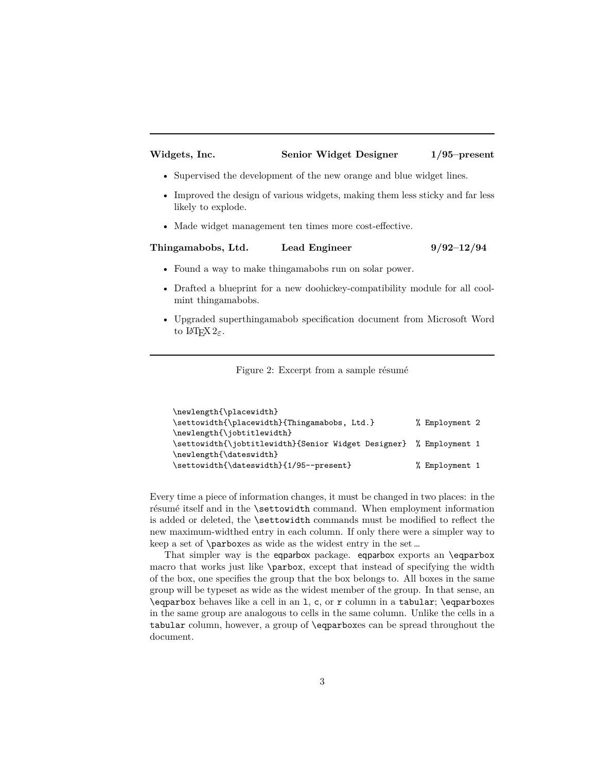#### <span id="page-2-1"></span><span id="page-2-0"></span>**Widgets, Inc. Senior Widget Designer 1/95–present**

- Supervised the development of the new orange and blue widget lines.
- Improved the design of various widgets, making them less sticky and far less likely to explode.
- Made widget management ten times more cost-effective.

#### **Thingamabobs, Ltd. Lead Engineer 9/92–12/94**

- Found a way to make thing amabobs run on solar power.
- Drafted a blueprint for a new doohickey-compatibility module for all coolmint thingamabobs.
- Upgraded superthingamabob specification document from Microsoft Word to L<sup>AT</sup>F<sub>X</sub> 2<sub>ε</sub>.

Figure 2: Excerpt from a sample résumé

```
\newlength{\placewidth}
\settowidth{\placewidth}{Thingamabobs, Ltd.} % Employment 2
\newlength{\jobtitlewidth}
\settowidth{\jobtitlewidth}{Senior Widget Designer} % Employment 1
\newlength{\dateswidth}
\settowidth{\dateswidth}{1/95--present} % Employment 1
```
Every time a piece of information changes, it must be changed in two places: in the résumé itself and in the \settowidth command. When employment information is added or deleted, the **\settowidth** commands must be modified to reflect the new maximum-widthed entry in each column. If only there were a simpler way to keep a set of \parboxes as wide as the widest entry in the set …

That simpler way is the eqparbox package. eqparbox exports an \eqparbox macro that works just like \parbox, except that instead of specifying the width of the box, one specifies the group that the box belongs to. All boxes in the same group will be typeset as wide as the widest member of the group. In that sense, an \eqparbox behaves like a cell in an l, c, or r column in a tabular; \eqparboxes in the same group are analogous to cells in the same column. Unlike the cells in a tabular column, however, a group of \eqparboxes can be spread throughout the document.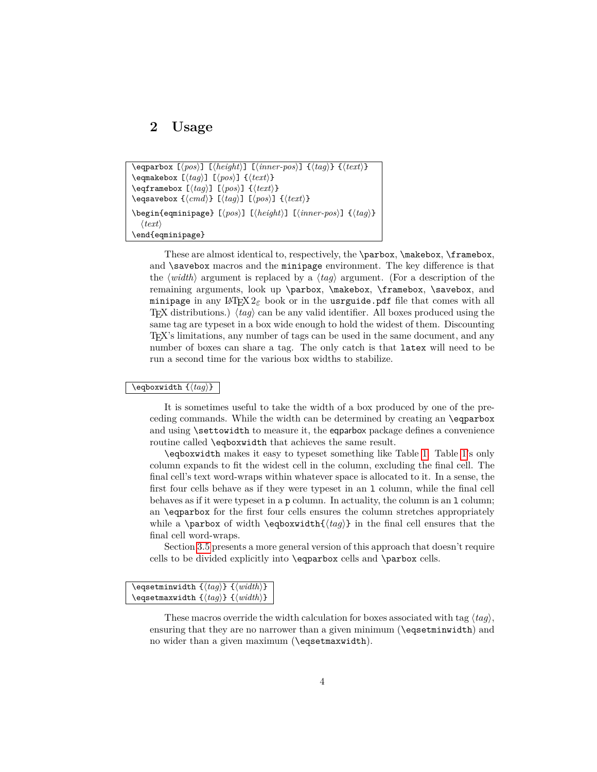## <span id="page-3-1"></span><span id="page-3-0"></span>**2 Usage**

```
\eqparbox [hposi] [hheighti] [hinner-posi] {htagi} {htexti}
\qquad \qquad \text{if } \frac{h}{\text{else}} \text{ if } \frac{h}{\text{else}} \text{ if } \frac{h}{\text{else}} \text{ if } \frac{h}{\text{else}} \text{ if } \frac{h}{\text{else}} \text{ if } \frac{h}{\text{else}} \text{ if } \frac{h}{\text{else}} \text{ if } \frac{h}{\text{else}} \text{ if } \frac{h}{\text{else}} \text{ if } \frac{h}{\text{else}} \text{ if } \frac{h}{\text{else}} \text{ if } \frac{h}{\text{else}} \text{ if } \frac{h}{\text{else}} \text{ if } \frac{h}{\text{else}} \text{ if\eqref{rangebox [hqg]} [\langle pos \rangle] \lbrace \langle text \rangle}
\text{eq} \text{savebox } {\langle \text{cmd} \rangle} [\langle \text{thm} \rangle] {\langle \text{text} \rangle}\begin{eqminipage} [\langle pos \rangle] [\langle \langle inner-pos \rangle] {\langle tag \rangle}
        \langle \text{text}\rangle\end{eqminipage}
```
These are almost identical to, respectively, the \parbox, \makebox, \framebox, and **\savebox** macros and the minipage environment. The key difference is that the  $\langle width \rangle$  argument is replaced by a  $\langle tag \rangle$  argument. (For a description of the remaining arguments, look up \parbox, \makebox, \framebox, \savebox, and minipage in any  $\mathbb{F} \times 2_{\varepsilon}$  book or in the usrguide.pdf file that comes with all TEX distributions.)  $\langle tag \rangle$  can be any valid identifier. All boxes produced using the same tag are typeset in a box wide enough to hold the widest of them. Discounting TEX's limitations, any number of tags can be used in the same document, and any number of boxes can share a tag. The only catch is that latex will need to be run a second time for the various box widths to stabilize.

#### $\{eqb$ oxwidth  $\{tag\}$

It is sometimes useful to take the width of a box produced by one of the preceding commands. While the width can be determined by creating an \eqparbox and using \settowidth to measure it, the eqparbox package defines a convenience routine called \eqboxwidth that achieves the same result.

\eqboxwidth makes it easy to typeset something like Table [1.](#page-4-0) Table [1'](#page-4-0)s only column expands to fit the widest cell in the column, excluding the final cell. The final cell's text word-wraps within whatever space is allocated to it. In a sense, the first four cells behave as if they were typeset in an l column, while the final cell behaves as if it were typeset in a p column. In actuality, the column is an l column; an \eqparbox for the first four cells ensures the column stretches appropriately while a **\parbox** of width **\eqboxwidth{** $\{tag}$ } in the final cell ensures that the final cell word-wraps.

Section [3.5](#page-9-0) presents a more general version of this approach that doesn't require cells to be divided explicitly into \eqparbox cells and \parbox cells.

```
\begin{align} \n\begin{bmatrix} \n\frac{h}{h} \n\end{bmatrix} \n\end{align}\begin{align} \n\begin{bmatrix} \n\langle tag \rangle \n\end{bmatrix} \n\begin{bmatrix} \n\langle width \rangle \n\end{bmatrix} \n\end{align}
```
These macros override the width calculation for boxes associated with tag  $\langle ta\eta\rangle$ , ensuring that they are no narrower than a given minimum (\eqsetminwidth) and no wider than a given maximum (\eqsetmaxwidth).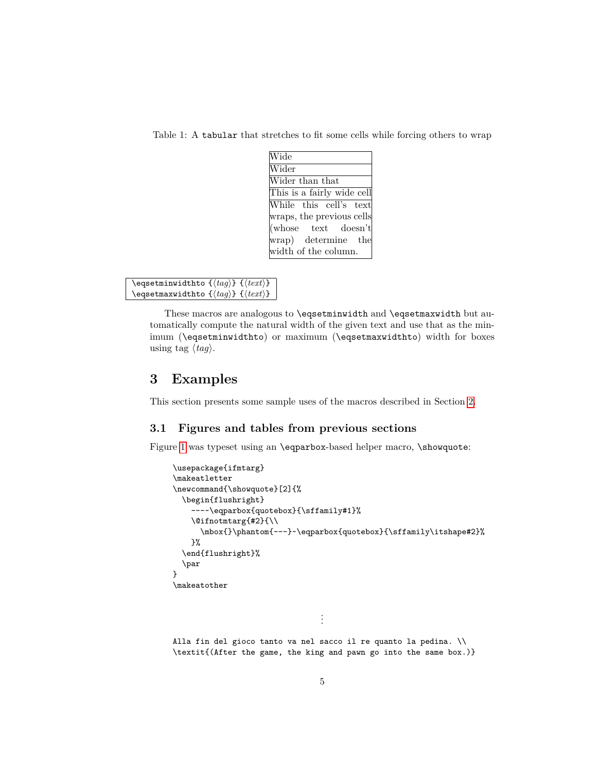<span id="page-4-0"></span>Table 1: A tabular that stretches to fit some cells while forcing others to wrap

| Wide                                                    |  |
|---------------------------------------------------------|--|
| Wider                                                   |  |
| Wider than that                                         |  |
| This is a fairly wide cell                              |  |
| While this cell's text                                  |  |
| wraps, the previous cells                               |  |
| $(\text{whose} \quad \text{text} \quad \text{doesn't})$ |  |
| wrap) determine the                                     |  |
| width of the column.                                    |  |

\eqsetminwidthto  ${\langle tag \rangle}$   ${\langle \text{text} \rangle}$ \eqsetmaxwidthto  $\{\langle tag \rangle\}$   $\{\langle text \rangle\}$ 

> These macros are analogous to \eqsetminwidth and \eqsetmaxwidth but automatically compute the natural width of the given text and use that as the minimum (\eqsetminwidthto) or maximum (\eqsetmaxwidthto) width for boxes using tag  $\langle tag \rangle$ .

## **3 Examples**

This section presents some sample uses of the macros described in Section [2.](#page-3-0)

## **3.1 Figures and tables from previous sections**

Figure [1](#page-1-0) was typeset using an \eqparbox-based helper macro, \showquote:

```
\usepackage{ifmtarg}
\makeatletter
\newcommand{\showquote}[2]{%
  \begin{flushright}
    ---~\eqparbox{quotebox}{\sffamily#1}%
    \@ifnotmtarg{#2}{\\
      \mbox{}\phantom{---}~\eqparbox{quotebox}{\sffamily\itshape#2}%
    }%
  \end{flushright}%
  \par
}
\makeatother
                                  .
                                  .
                                  .
```
Alla fin del gioco tanto va nel sacco il re quanto la pedina. \\ \textit{(After the game, the king and pawn go into the same box.)}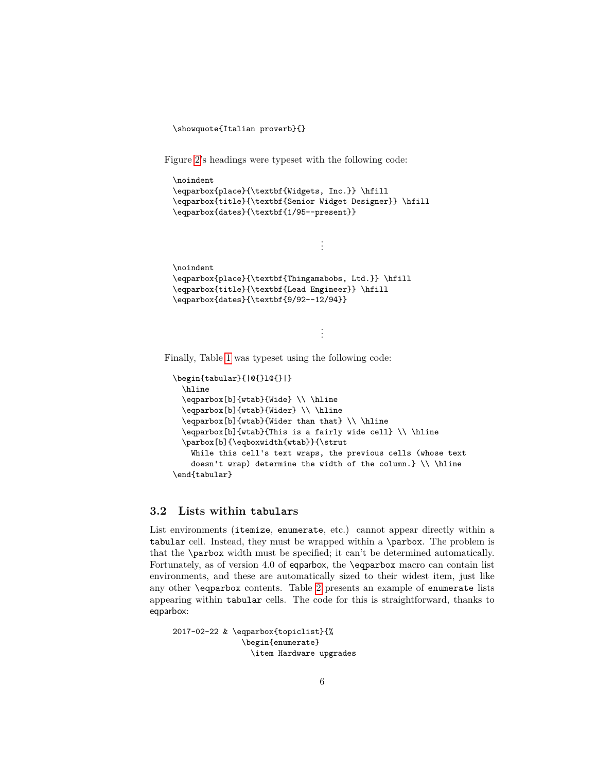```
\showquote{Italian proverb}{}
```
Figure [2'](#page-2-0)s headings were typeset with the following code:

```
\noindent
\eqparbox{place}{\textbf{Widgets, Inc.}} \hfill
\eqparbox{title}{\textbf{Senior Widget Designer}} \hfill
\eqparbox{dates}{\textbf{1/95--present}}
```

```
\noindent
\eqparbox{place}{\textbf{Thingamabobs, Ltd.}} \hfill
\eqparbox{title}{\textbf{Lead Engineer}} \hfill
\eqparbox{dates}{\textbf{9/92--12/94}}
```
. . .

. . .

Finally, Table [1](#page-4-0) was typeset using the following code:

```
\begin{tabular}{|@{}l@{}|}
 \hline
 \eqparbox[b]{wtab}{Wide} \\ \hline
 \eqparbox[b]{wtab}{Wider} \\ \hline
  \eqparbox[b]{wtab}{Wider than that} \\ \hline
  \eqparbox[b]{wtab}{This is a fairly wide cell} \\ \hline
  \parbox[b]{\eqboxwidth{wtab}}{\strut
   While this cell's text wraps, the previous cells (whose text
   doesn't wrap) determine the width of the column.} \(\nhline
\end{tabular}
```
### **3.2 Lists within tabulars**

List environments (itemize, enumerate, etc.) cannot appear directly within a tabular cell. Instead, they must be wrapped within a \parbox. The problem is that the \parbox width must be specified; it can't be determined automatically. Fortunately, as of version 4.0 of eqparbox, the \eqparbox macro can contain list environments, and these are automatically sized to their widest item, just like any other \eqparbox contents. Table [2](#page-6-0) presents an example of enumerate lists appearing within tabular cells. The code for this is straightforward, thanks to eqparbox:

```
2017-02-22 & \eqparbox{topiclist}{%
               \begin{enumerate}
                 \item Hardware upgrades
```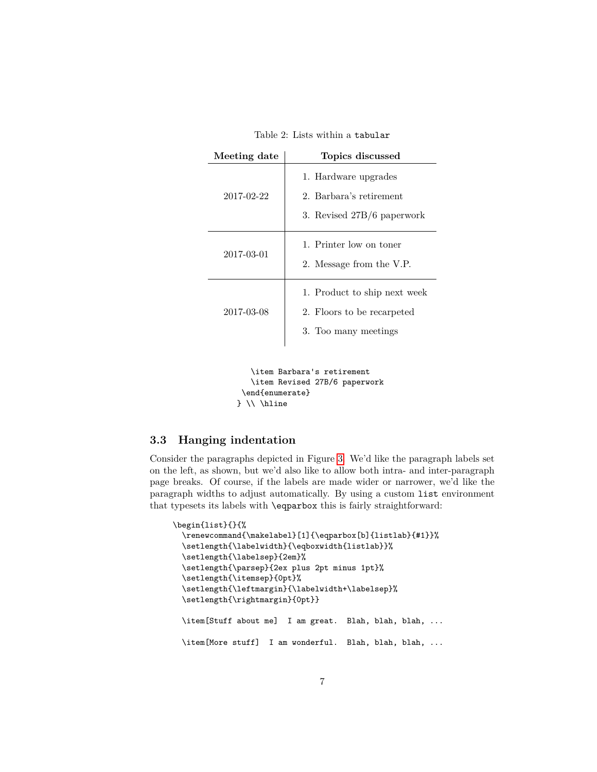Table 2: Lists within a tabular

<span id="page-6-0"></span>

| Meeting date | Topics discussed                                                                   |
|--------------|------------------------------------------------------------------------------------|
| 2017-02-22   | 1. Hardware upgrades<br>2. Barbara's retirement<br>3. Revised 27B/6 paperwork      |
| 2017-03-01   | 1. Printer low on toner<br>2. Message from the V.P.                                |
| 2017-03-08   | 1. Product to ship next week<br>2. Floors to be recarpeted<br>3. Too many meetings |

\item Barbara's retirement \item Revised 27B/6 paperwork \end{enumerate} } \\ \hline

## **3.3 Hanging indentation**

Consider the paragraphs depicted in Figure [3.](#page-7-0) We'd like the paragraph labels set on the left, as shown, but we'd also like to allow both intra- and inter-paragraph page breaks. Of course, if the labels are made wider or narrower, we'd like the paragraph widths to adjust automatically. By using a custom list environment that typesets its labels with \eqparbox this is fairly straightforward:

```
\begin{list}{}{%
 \renewcommand{\makelabel}[1]{\eqparbox[b]{listlab}{#1}}%
  \setlength{\labelwidth}{\eqboxwidth{listlab}}%
 \setlength{\labelsep}{2em}%
 \setlength{\parsep}{2ex plus 2pt minus 1pt}%
 \setlength{\itemsep}{0pt}%
  \setlength{\leftmargin}{\labelwidth+\labelsep}%
 \setlength{\rightmargin}{0pt}}
 \item[Stuff about me] I am great. Blah, blah, blah, ...
 \item[More stuff] I am wonderful. Blah, blah, blah, ...
```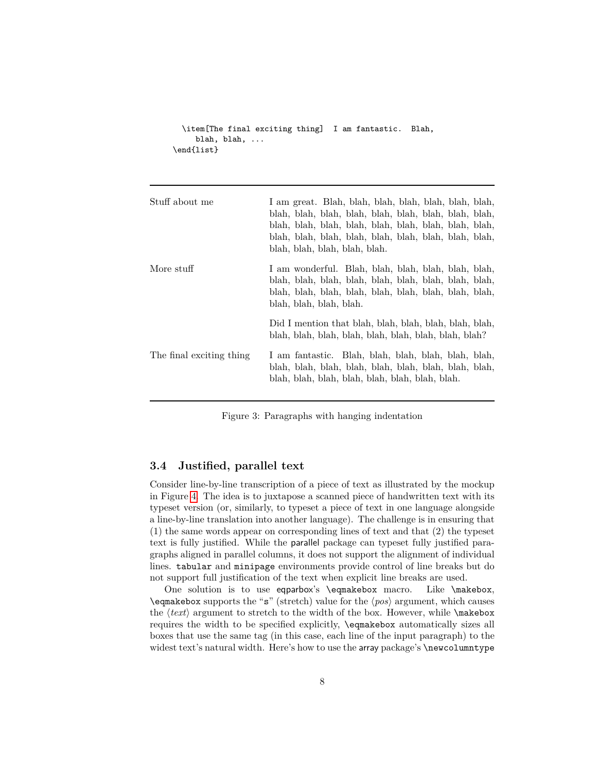```
\item[The final exciting thing] I am fantastic. Blah,
    blah, blah, ...
\end{list}
```
<span id="page-7-0"></span>

| Stuff about me           | I am great. Blah, blah, blah, blah, blah, blah, blah,<br>blah, blah, blah, blah, blah, blah, blah, blah, blah,<br>blah, blah, blah, blah, blah, blah, blah, blah, blah,<br>blah, blah, blah, blah, blah, blah, blah, blah, blah,<br>blah, blah, blah, blah, blah. |
|--------------------------|-------------------------------------------------------------------------------------------------------------------------------------------------------------------------------------------------------------------------------------------------------------------|
| More stuff               | I am wonderful. Blah, blah, blah, blah, blah, blah,<br>blah, blah, blah, blah, blah, blah, blah, blah, blah,<br>blah, blah, blah, blah, blah, blah, blah, blah, blah,<br>blah, blah, blah, blah.                                                                  |
|                          | Did I mention that blah, blah, blah, blah, blah, blah,<br>blah, blah, blah, blah, blah, blah, blah, blah, blah?                                                                                                                                                   |
| The final exciting thing | I am fantastic. Blah, blah, blah, blah, blah, blah,<br>blah, blah, blah, blah, blah, blah, blah, blah,<br>blah, blah, blah, blah, blah, blah, blah, blah.                                                                                                         |

Figure 3: Paragraphs with hanging indentation

### **3.4 Justified, parallel text**

Consider line-by-line transcription of a piece of text as illustrated by the mockup in Figure [4.](#page-8-0) The idea is to juxtapose a scanned piece of handwritten text with its typeset version (or, similarly, to typeset a piece of text in one language alongside a line-by-line translation into another language). The challenge is in ensuring that (1) the same words appear on corresponding lines of text and that (2) the typeset text is fully justified. While the parallel package can typeset fully justified paragraphs aligned in parallel columns, it does not support the alignment of individual lines. tabular and minipage environments provide control of line breaks but do not support full justification of the text when explicit line breaks are used.

One solution is to use eqparbox's \eqmakebox macro. Like \makebox,  $\qquad$   $\qquad$  supports the "s" (stretch) value for the  $\langle pos \rangle$  argument, which causes the  $\langle text \rangle$  argument to stretch to the width of the box. However, while \makebox requires the width to be specified explicitly, \eqmakebox automatically sizes all boxes that use the same tag (in this case, each line of the input paragraph) to the widest text's natural width. Here's how to use the array package's \newcolumntype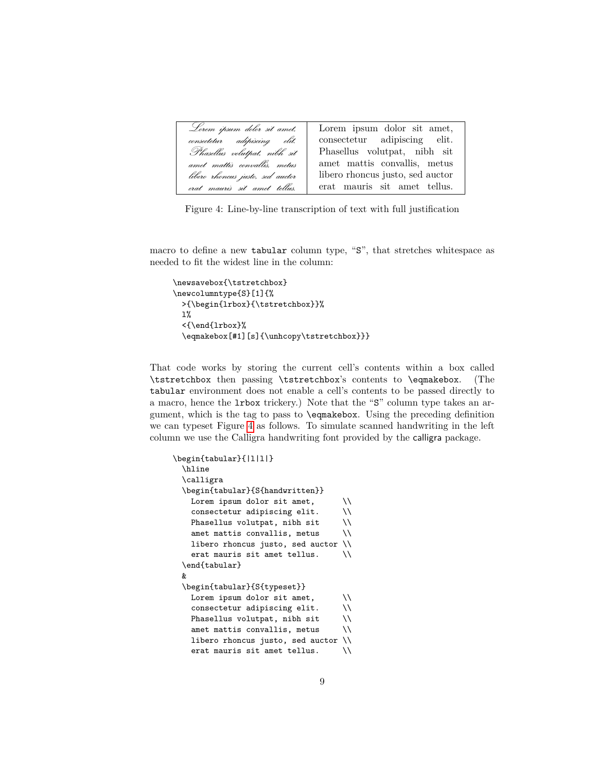<span id="page-8-1"></span><span id="page-8-0"></span>

| Lorem ipsum dolor sit amet,      | Lorem ipsum dolor sit amet,      |
|----------------------------------|----------------------------------|
| consectetur adipiscing elit.     | consectetur adipiscing elit.     |
| Phasellus volutpat, nibh sit     | Phasellus volutpat, nibh sit     |
| amet mattis convallis, metus     | amet mattis convallis, metus     |
| libero rhoncus justo, sed auctor | libero rhoncus justo, sed auctor |
| erat mauris sit amet tellus.     | erat mauris sit amet tellus.     |

Figure 4: Line-by-line transcription of text with full justification

macro to define a new tabular column type, "S", that stretches whitespace as needed to fit the widest line in the column:

```
\newsavebox{\tstretchbox}
\newcolumntype{S}[1]{%
 >{\begin{lrbox}{\tstretchbox}}%
 1%<{\end{lrbox}%
  \eqmakebox[#1][s]{\unhcopy\tstretchbox}}}
```
That code works by storing the current cell's contents within a box called \tstretchbox then passing \tstretchbox's contents to \eqmakebox. (The tabular environment does not enable a cell's contents to be passed directly to a macro, hence the lrbox trickery.) Note that the "S" column type takes an argument, which is the tag to pass to \eqmakebox. Using the preceding definition we can typeset Figure [4](#page-8-0) as follows. To simulate scanned handwriting in the left column we use the Calligra handwriting font provided by the calligra package.

```
\begin{tabular}{|l|l|}
 \hline
 \calligra
 \begin{tabular}{S{handwritten}}
   Lorem ipsum dolor sit amet, \setminusconsectetur adipiscing elit. \\
   Phasellus volutpat, nibh sit \\
   amet mattis convallis, metus \\
   libero rhoncus justo, sed auctor \\
   erat mauris sit amet tellus. \\
 \end{tabular}
 &
 \begin{tabular}{S{typeset}}
   Lorem ipsum dolor sit amet, \setminusconsectetur adipiscing elit. \\
   Phasellus volutpat, nibh sit \\
   amet mattis convallis, metus \\
   libero rhoncus justo, sed auctor \\
   erat mauris sit amet tellus. \\
```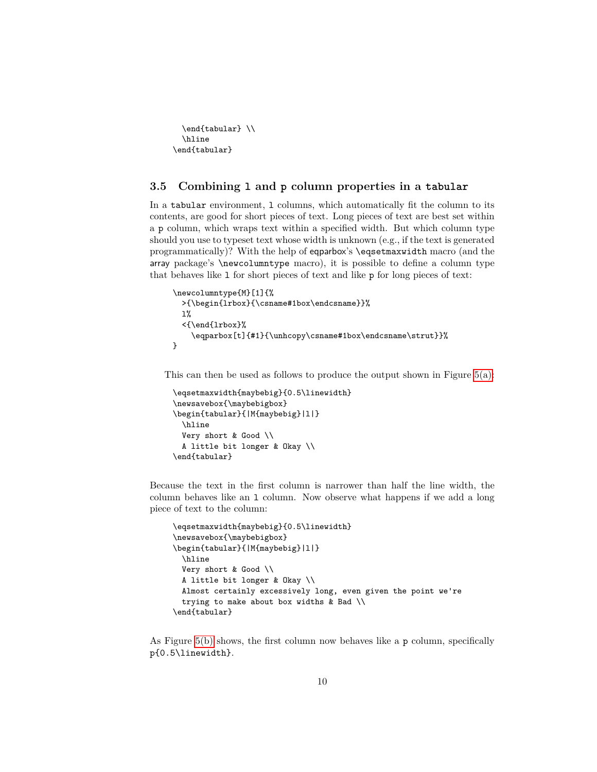<span id="page-9-1"></span>\end{tabular} \\ \hline \end{tabular}

### <span id="page-9-0"></span>**3.5 Combining l and p column properties in a tabular**

In a tabular environment, 1 columns, which automatically fit the column to its contents, are good for short pieces of text. Long pieces of text are best set within a p column, which wraps text within a specified width. But which column type should you use to typeset text whose width is unknown (e.g., if the text is generated programmatically)? With the help of eqparbox's \eqsetmaxwidth macro (and the array package's \newcolumntype macro), it is possible to define a column type that behaves like l for short pieces of text and like p for long pieces of text:

```
\newcolumntype{M}[1]{%
 >{\begin{lrbox}{\csname#1box\endcsname}}%
 1%<{\end{lrbox}%
    \eqparbox[t]{#1}{\unhcopy\csname#1box\endcsname\strut}}%
}
```
This can then be used as follows to produce the output shown in Figure [5\(a\):](#page-10-0)

```
\eqsetmaxwidth{maybebig}{0.5\linewidth}
\newsavebox{\maybebigbox}
\begin{tabular}{|M{maybebig}|l|}
 \hline
 Very short & Good \\
 A little bit longer & Okay \\
\end{tabular}
```
Because the text in the first column is narrower than half the line width, the column behaves like an l column. Now observe what happens if we add a long piece of text to the column:

```
\eqsetmaxwidth{maybebig}{0.5\linewidth}
\newsavebox{\maybebigbox}
\begin{tabular}{|M{maybebig}|l|}
 \hline
 Very short & Good \\
 A little bit longer & Okay \\
 Almost certainly excessively long, even given the point we're
 trying to make about box widths & Bad \\
\end{tabular}
```
As Figure [5\(b\)](#page-10-1) shows, the first column now behaves like a p column, specifically p{0.5\linewidth}.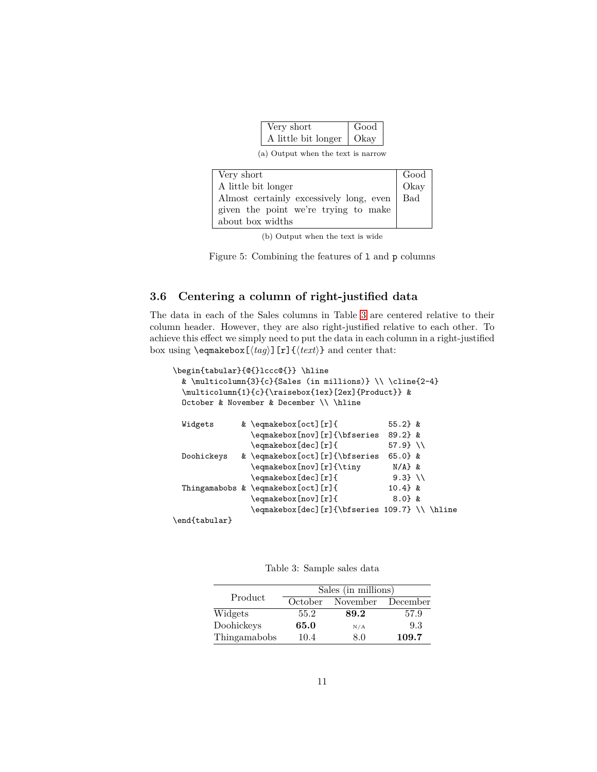| Very short          | Good |
|---------------------|------|
| A little bit longer | Okav |

(a) Output when the text is narrow

<span id="page-10-1"></span><span id="page-10-0"></span>

| Very short                              | Good<br>Okay |
|-----------------------------------------|--------------|
| A little bit longer                     |              |
| Almost certainly excessively long, even | <b>Bad</b>   |
| given the point we're trying to make    |              |
| about box widths                        |              |

(b) Output when the text is wide

Figure 5: Combining the features of 1 and p columns

## **3.6 Centering a column of right-justified data**

The data in each of the Sales columns in Table [3](#page-10-2) are centered relative to their column header. However, they are also right-justified relative to each other. To achieve this effect we simply need to put the data in each column in a right-justified box using  $\text{deg}_k$   $\{tag\}$  [r] $\{\text{ker}_k\}$  and center that:

```
\begin{tabular}{@{}lccc@{}} \hline
 & \multicolumn{3}{c}{Sales (in millions)} \\ \cline{2-4}
 \multicolumn{1}{c}{\raisebox{1ex}[2ex]{Product}} &
 October & November & December \\ \hline
 Widgets & \eqmakebox[oct][r]{ 55.2} &
               \eqmakebox[nov][r]{\bfseries 89.2} &
               \qquad \qquad \qquad 57.9} \\
 Doohickeys & \eqmakebox[oct][r]{\bfseries 65.0} &
               \eqmakebox[nov][r]{\tiny N/A} &
               \qquad \qquad \qquad \eqmakebox[dec][r]{ 9.3} \\
 Thingamabobs & \eqmakebox[oct][r]{ 10.4} &
               \eqmakebox[nov][r]{ 8.0} &
               \eqmakebox[dec][r]{\bfseries 109.7} \\ \hline
\end{tabular}
```
<span id="page-10-2"></span>

Table 3: Sample sales data

|              | Sales (in millions) |          |          |
|--------------|---------------------|----------|----------|
| Product      | October             | November | December |
| Widgets      | 55.2                | 89.2     | 57.9     |
| Doohickeys   | 65.0                | N/A      | 9.3      |
| Thingamabobs | 10.4                | 8.0      | 109.7    |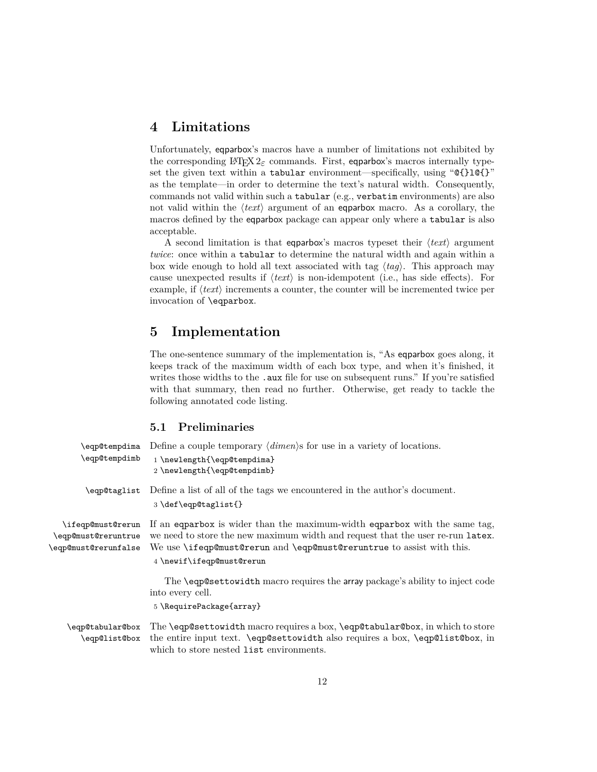## <span id="page-11-0"></span>**4 Limitations**

Unfortunately, eqparbox's macros have a number of limitations not exhibited by the corresponding LAT<sub>E</sub>X 2<sub> $\varepsilon$ </sub> commands. First, eqparbox's macros internally typeset the given text within a tabular environment—specifically, using " $Q$ {}l $Q$ {}" as the template—in order to determine the text's natural width. Consequently, commands not valid within such a tabular (e.g., verbatim environments) are also not valid within the  $\langle text \rangle$  argument of an eqparbox macro. As a corollary, the macros defined by the eqparbox package can appear only where a tabular is also acceptable.

A second limitation is that eqparbox's macros typeset their  $\langle text \rangle$  argument *twice*: once within a **tabular** to determine the natural width and again within a box wide enough to hold all text associated with tag  $\langle tag \rangle$ . This approach may cause unexpected results if  $\langle text \rangle$  is non-idempotent (i.e., has side effects). For example, if  $\langle text \rangle$  increments a counter, the counter will be incremented twice per invocation of \eqparbox.

## **5 Implementation**

The one-sentence summary of the implementation is, "As eqparbox goes along, it keeps track of the maximum width of each box type, and when it's finished, it writes those widths to the **.aux** file for use on subsequent runs." If you're satisfied with that summary, then read no further. Otherwise, get ready to tackle the following annotated code listing.

### **5.1 Preliminaries**

| \eqp@tempdima<br>\eqp@tempdimb                                   | Define a couple temporary $\langle \text{dimen} \rangle$ for use in a variety of locations.<br>1 \newlength{\eqp@tempdima}<br>2 \newlength{\eqp@tempdimb}                                                                                                       |
|------------------------------------------------------------------|-----------------------------------------------------------------------------------------------------------------------------------------------------------------------------------------------------------------------------------------------------------------|
| \eqp@taglist                                                     | Define a list of all of the tags we encountered in the author's document.<br>3\def\eqp@taglist{}                                                                                                                                                                |
| \ifeqp@must@rerun<br>\eqp@must@reruntrue<br>\eqp@must@rerunfalse | If an equal is wider than the maximum-width equal to with the same tag.<br>we need to store the new maximum width and request that the user re-run latex.<br>We use \ifeqp@must@rerun and \eqp@must@reruntrue to assist with this.<br>4 \newif\ifeqp@must@rerun |
|                                                                  | The <b>\eqp@settowidth</b> macro requires the array package's ability to inject code<br>into every cell.<br>5 \RequirePackage{array}                                                                                                                            |
| \eqp@tabular@box                                                 | The \eqp@settowidth macro requires a box, \eqp@tabular@box, in which to store                                                                                                                                                                                   |
| \eqp@list@box                                                    | the entire input text. \eqp@settowidth also requires a box, \eqp@list@box, in<br>which to store nested list environments.                                                                                                                                       |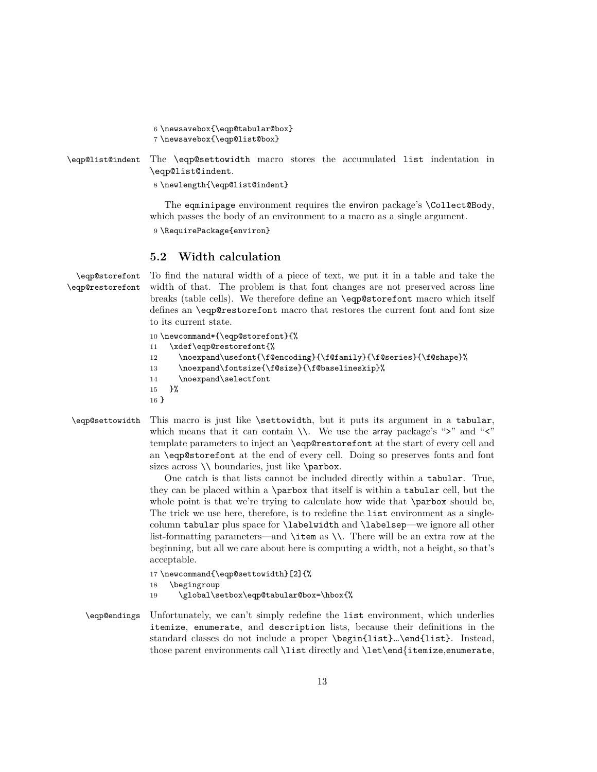```
6 \newsavebox{\eqp@tabular@box}
```
7 \newsavebox{\eqp@list@box}

```
\eqp@list@indent The \eqp@settowidth macro stores the accumulated list indentation in
                \eqp@list@indent.
```
8 \newlength{\eqp@list@indent}

The eqminipage environment requires the environ package's \Collect@Body, which passes the body of an environment to a macro as a single argument.

9 \RequirePackage{environ}

## **5.2 Width calculation**

```
\eqp@storefont
\eqp@restorefont
```
To find the natural width of a piece of text, we put it in a table and take the width of that. The problem is that font changes are not preserved across line breaks (table cells). We therefore define an \eqp@storefont macro which itself defines an \eqp@restorefont macro that restores the current font and font size to its current state.

```
10 \newcommand*{\eqp@storefont}{%
```

```
11 \xdef\eqp@restorefont{%
```

```
12 \noexpand\usefont{\f@encoding}{\f@family}{\f@series}{\f@shape}%
```

```
13 \noexpand\fontsize{\f@size}{\f@baselineskip}%
```
- 14 \noexpand\selectfont
- 15 }%
- 16 }
- \eqp@settowidth This macro is just like \settowidth, but it puts its argument in a tabular, which means that it can contain  $\setminus\setminus$ . We use the array package's ">" and "<" template parameters to inject an \eqp@restorefont at the start of every cell and an \eqp@storefont at the end of every cell. Doing so preserves fonts and font sizes across  $\setminus$  boundaries, just like  $\parrow$ parbox.

One catch is that lists cannot be included directly within a tabular. True, they can be placed within a \parbox that itself is within a tabular cell, but the whole point is that we're trying to calculate how wide that **\parbox** should be, The trick we use here, therefore, is to redefine the list environment as a singlecolumn tabular plus space for \labelwidth and \labelsep—we ignore all other list-formatting parameters—and \item as \\. There will be an extra row at the beginning, but all we care about here is computing a width, not a height, so that's acceptable.

```
17 \newcommand{\eqp@settowidth}[2]{%
```
18 \begingroup

- 19 \global\setbox\eqp@tabular@box=\hbox{%
- \eqp@endings Unfortunately, we can't simply redefine the list environment, which underlies itemize, enumerate, and description lists, because their definitions in the standard classes do not include a proper \begin{list}…\end{list}. Instead, those parent environments call \list directly and \let\end{itemize,enumerate,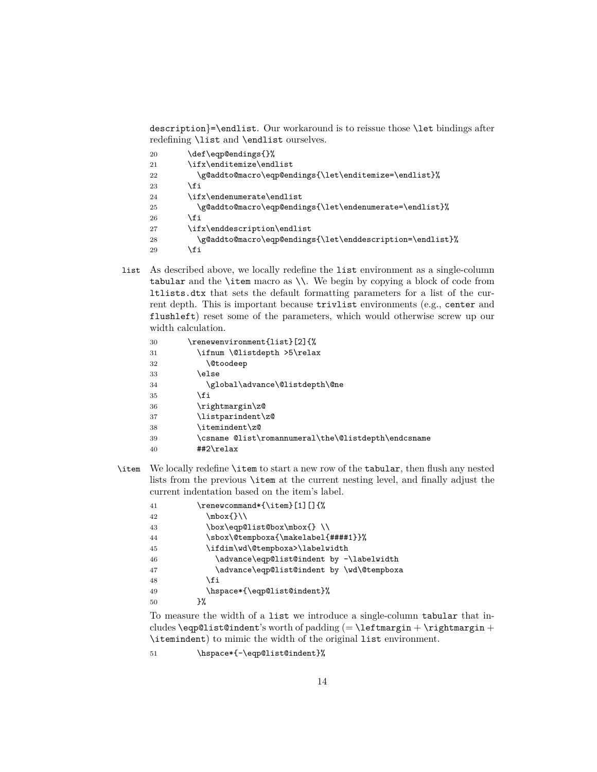description}=\endlist. Our workaround is to reissue those \let bindings after redefining \list and \endlist ourselves.

| 20 | \def\eqp@endings{}%                                       |
|----|-----------------------------------------------------------|
| 21 | \ifx\enditemize\endlist                                   |
| 22 | \g@addto@macro\eqp@endings{\let\enditemize=\endlist}%     |
| 23 | \fi                                                       |
| 24 | \ifx\endenumerate\endlist\                                |
| 25 | \g@addto@macro\eqp@endings{\let\endenumerate=\endlist}%   |
| 26 | \fi                                                       |
| 27 | \ifx\enddescription\endlist                               |
| 28 | \g@addto@macro\eqp@endings{\let\enddescription=\endlist}% |
| 29 | \fi                                                       |

list As described above, we locally redefine the list environment as a single-column tabular and the \item macro as \\. We begin by copying a block of code from ltlists.dtx that sets the default formatting parameters for a list of the current depth. This is important because trivlist environments (e.g., center and flushleft) reset some of the parameters, which would otherwise screw up our width calculation.

| 30 | \renewenvironment{list}[2]{%                        |
|----|-----------------------------------------------------|
| 31 | \ifnum \@listdepth >5\relax                         |
| 32 | <b>\@toodeep</b>                                    |
| 33 | \else                                               |
| 34 | \global\advance\@listdepth\@ne                      |
| 35 | \fi                                                 |
| 36 | \rightmargin\z@                                     |
| 37 | \listparindent\z@                                   |
| 38 | \itemindent\z@                                      |
| 39 | \csname @list\romannumeral\the\@listdepth\endcsname |
| 40 | ##2\relax                                           |

\item We locally redefine \item to start a new row of the tabular, then flush any nested lists from the previous \item at the current nesting level, and finally adjust the current indentation based on the item's label.

| 41 | \renewcommand*{\item}[1][]{%              |
|----|-------------------------------------------|
| 42 | \mbox{}\\                                 |
| 43 | \box\eqp@list@box\mbox{}\\                |
| 44 | \sbox\@tempboxa{\makelabel{####1}}%       |
| 45 | \ifdim\wd\@tempboxa>\labelwidth           |
| 46 | \advance\eqp@list@indent by -\labelwidth  |
| 47 | \advance\eqp@list@indent by \wd\@tempboxa |
| 48 | \fi                                       |
| 49 | \hspace*{\eqp@list@indent}%               |
| 50 | ን%                                        |
|    |                                           |

To measure the width of a list we introduce a single-column tabular that includes  $\equiv \tanh'$ s worth of padding (=  $\leftarrow$  \leftmargin + \rightmargin + \itemindent) to mimic the width of the original list environment.

51 \hspace\*{-\eqp@list@indent}%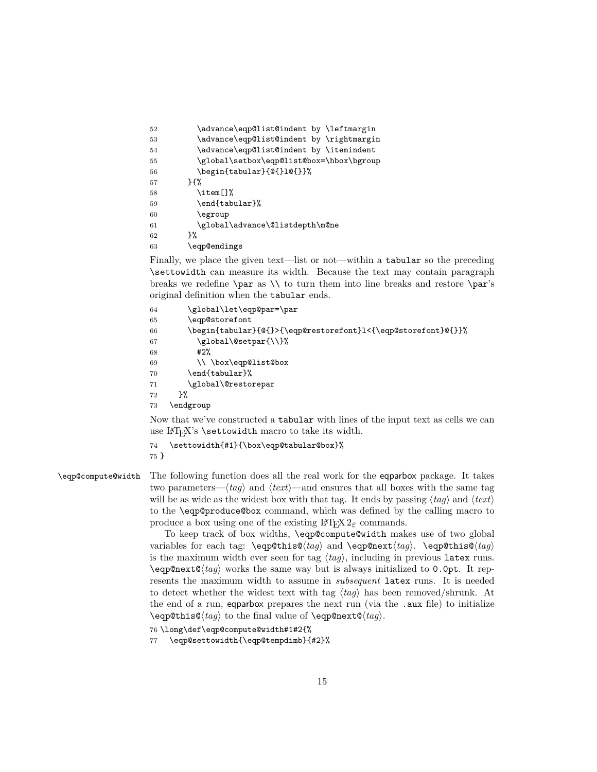<span id="page-14-0"></span>

| 52 | \advance\eqp@list@indent by \leftmargin  |
|----|------------------------------------------|
| 53 | \advance\eqp@list@indent by \rightmargin |
| 54 | \advance\eqp@list@indent by \itemindent  |
| 55 | \global\setbox\eqp@list@box=\hbox\bgroup |
| 56 | \begin{tabular}{@{}1@{}}%                |
| 57 | ን የአ                                     |
| 58 | \item[]%                                 |
| 59 | \end{tabular}%                           |
| 60 | \egroup                                  |
| 61 | \global\advance\@listdepth\m@ne          |
| 62 | ጉ%                                       |
| 63 | \eqp@endings                             |
|    |                                          |

Finally, we place the given text—list or not—within a tabular so the preceding \settowidth can measure its width. Because the text may contain paragraph breaks we redefine  $\parbox{5pt}{\prime}$  to turn them into line breaks and restore  $\parbox{5pt}{\prime}$ original definition when the tabular ends.

```
64 \global\let\eqp@par=\par
65 \eqp@storefont
66 \begin{tabular}{@{}>{\eqp@restorefont}l<{\eqp@storefont}@{}}%
67 \global\@setpar{\\}%
68 #2%69 \\ \box\eqp@list@box
70 \end{tabular}%
71 \global\@restorepar
72 }%
73 \endgroup
```
Now that we've constructed a tabular with lines of the input text as cells we can use  $\LaTeX's \setminus \text{settowidth} \text{ macro to take its width.}$ 

```
74 \settowidth{#1}{\box\eqp@tabular@box}%
```
75 }

\eqp@compute@width The following function does all the real work for the eqparbox package. It takes two parameters— $\langle tag \rangle$  and  $\langle text \rangle$ —and ensures that all boxes with the same tag will be as wide as the widest box with that tag. It ends by passing  $\langle tag \rangle$  and  $\langle text \rangle$ to the \eqp@produce@box command, which was defined by the calling macro to produce a box using one of the existing  $\text{Lipx } 2_{\varepsilon}$  commands.

> To keep track of box widths, \eqp@compute@width makes use of two global variables for each tag:  $\eqref{tag} \tag{tag} \eqref{eq}$ is the maximum width ever seen for tag  $\langle tag \rangle$ , including in previous latex runs.  $\qquad$   $\qquad$  works the same way but is always initialized to 0.0pt. It represents the maximum width to assume in *subsequent* latex runs. It is needed to detect whether the widest text with tag  $\langle tag \rangle$  has been removed/shrunk. At the end of a run, eqparbox prepares the next run (via the .aux file) to initialize \eqp@this@\tag\ to the final value of \eqp@next@\tag\.

```
76 \long\def\eqp@compute@width#1#2{%
```
77 \eqp@settowidth{\eqp@tempdimb}{#2}%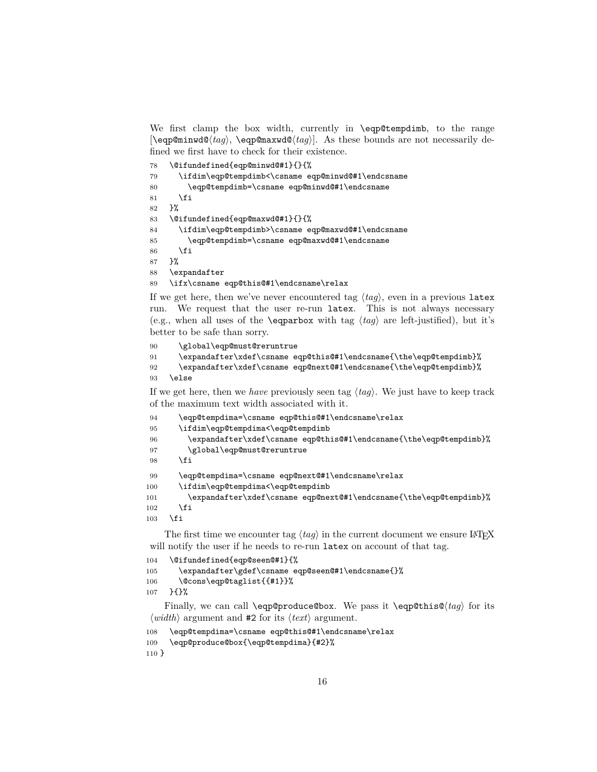We first clamp the box width, currently in **\eqp@tempdimb**, to the range  $\leq$   $\leq$   $\leq$   $\leq$   $\leq$   $\leq$   $\leq$   $\leq$   $\leq$   $\leq$   $\leq$   $\leq$   $\leq$   $\leq$   $\leq$   $\leq$   $\leq$   $\leq$   $\leq$   $\leq$   $\leq$   $\leq$   $\leq$   $\leq$   $\leq$   $\leq$   $\leq$   $\leq$   $\leq$   $\leq$   $\leq$   $\leq$   $\leq$   $\leq$   $\leq$   $\leq$   $\leq$ fined we first have to check for their existence.

```
78 \@ifundefined{eqp@minwd@#1}{}{%
79 \ifdim\eqp@tempdimb<\csname eqp@minwd@#1\endcsname
80 \eqp@tempdimb=\csname eqp@minwd@#1\endcsname
81 \fi
82 }%
83 \@ifundefined{eqp@maxwd@#1}{}{%
84 \ifdim\eqp@tempdimb>\csname eqp@maxwd@#1\endcsname
85 \eqp@tempdimb=\csname eqp@maxwd@#1\endcsname
86 \fi
87 }%
88 \expandafter
89 \ifx\csname eqp@this@#1\endcsname\relax
```
If we get here, then we've never encountered tag  $\langle tag \rangle$ , even in a previous latex run. We request that the user re-run latex. This is not always necessary (e.g., when all uses of the **\eqparbox** with tag  $\langle tag \rangle$  are left-justified), but it's better to be safe than sorry.

```
90 \global\eqp@must@reruntrue
91 \expandafter\xdef\csname eqp@this@#1\endcsname{\the\eqp@tempdimb}%
92 \expandafter\xdef\csname eqp@next@#1\endcsname{\the\eqp@tempdimb}%
93 \else
```
If we get here, then we *have* previously seen tag  $\langle tag \rangle$ . We just have to keep track of the maximum text width associated with it.

```
94 \eqp@tempdima=\csname eqp@this@#1\endcsname\relax
95 \ifdim\eqp@tempdima<\eqp@tempdimb
96 \expandafter\xdef\csname eqp@this@#1\endcsname{\the\eqp@tempdimb}%
97 \global\eqp@must@reruntrue
98 \fi
99 \eqp@tempdima=\csname eqp@next@#1\endcsname\relax
100 \ifdim\eqp@tempdima<\eqp@tempdimb
101 \expandafter\xdef\csname eqp@next@#1\endcsname{\the\eqp@tempdimb}%
102 \fi
103 \fi
```
The first time we encounter tag  $\langle taq \rangle$  in the current document we ensure LATEX will notify the user if he needs to re-run latex on account of that tag.

```
104 \@ifundefined{eqp@seen@#1}{%
```

```
105 \expandafter\gdef\csname eqp@seen@#1\endcsname{}%
106 \@cons\eqp@taglist{{#1}}%
107 }{}%
```
Finally, we can call **\eqp@produce@box**. We pass it **\eqp@this@** $\langle tag \rangle$  for its  $\langle width \rangle$  argument and #2 for its  $\langle text \rangle$  argument.

```
108 \eqp@tempdima=\csname eqp@this@#1\endcsname\relax
109 \eqp@produce@box{\eqp@tempdima}{#2}%
```
}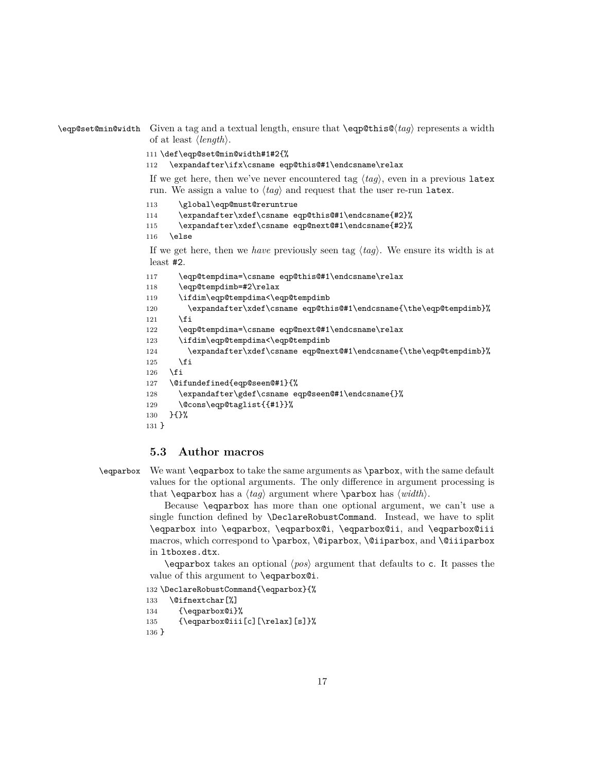```
\eqp@set@min@width Given a tag and a textual length, ensure that \eqp@this@htagi represents a width
                       of at least \langle length \rangle.
```

```
111 \def\eqp@set@min@width#1#2{%
```
112 \expandafter\ifx\csname eqp@this@#1\endcsname\relax

If we get here, then we've never encountered tag  $\langle taq \rangle$ , even in a previous latex run. We assign a value to  $\langle tag \rangle$  and request that the user re-run latex.

113 \global\eqp@must@reruntrue

114 \expandafter\xdef\csname eqp@this@#1\endcsname{#2}%

```
115 \expandafter\xdef\csname eqp@next@#1\endcsname{#2}%
```
116 \else

If we get here, then we *have* previously seen tag  $\langle tag \rangle$ . We ensure its width is at least #2.

```
117 \eqp@tempdima=\csname eqp@this@#1\endcsname\relax
118 \eqp@tempdimb=#2\relax
119 \ifdim\eqp@tempdima<\eqp@tempdimb
120 \expandafter\xdef\csname eqp@this@#1\endcsname{\the\eqp@tempdimb}%
121 \fi
122 \eqp@tempdima=\csname eqp@next@#1\endcsname\relax
123 \ifdim\eqp@tempdima<\eqp@tempdimb
124 \expandafter\xdef\csname eqp@next@#1\endcsname{\the\eqp@tempdimb}%
125 \quad \text{If}126 \fi
127 \@ifundefined{eqp@seen@#1}{%
128 \expandafter\gdef\csname eqp@seen@#1\endcsname{}%
129 \@cons\eqp@taglist{{#1}}%
130 }{}%
131 }
```
### **5.3 Author macros**

\eqparbox We want \eqparbox to take the same arguments as \parbox, with the same default values for the optional arguments. The only difference in argument processing is that **\eqparbox** has a  $\langle tag \rangle$  argument where **\parbox** has  $\langle width \rangle$ .

> Because \eqparbox has more than one optional argument, we can't use a single function defined by \DeclareRobustCommand. Instead, we have to split \eqparbox into \eqparbox, \eqparbox@i, \eqparbox@ii, and \eqparbox@iii macros, which correspond to \parbox, \@iparbox, \@iiparbox, and \@iiiparbox in ltboxes.dtx.

> $\qquad$  eqparbox takes an optional  $\langle pos \rangle$  argument that defaults to c. It passes the value of this argument to \eqparbox@i.

132 \DeclareRobustCommand{\eqparbox}{%

133 \@ifnextchar[%]

```
134 {\eqparbox@i}%
```

```
135 {\eqparbox@iii[c][\relax][s]}%
```
136 }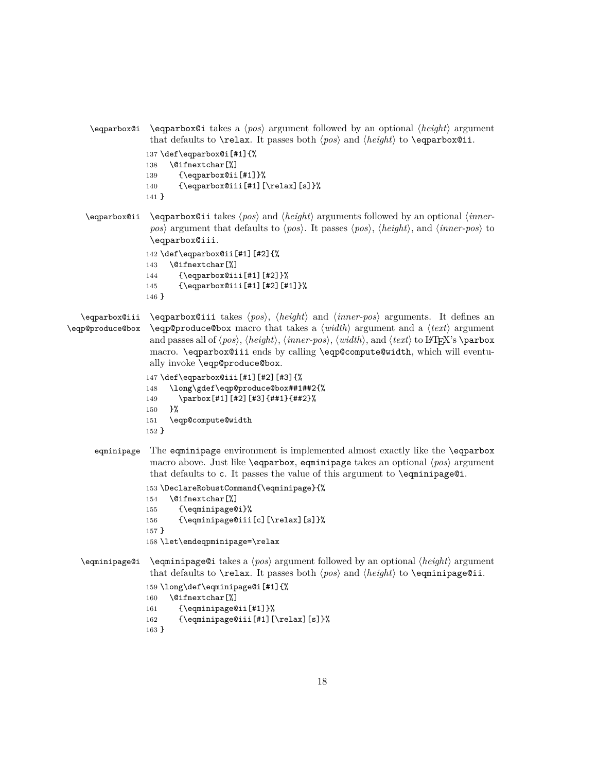```
\eqparbox@i \eqparbox@i takes a hposi argument followed by an optional hheighti argument
                     that defaults to \relax. It passes both \langle pos \rangle and \langle height \rangle to \eqparbox@ii.
                    137 \def\eqparbox@i[#1]{%
                    138 \@ifnextchar[%]
                    139 {\eqparbox@ii[#1]}%
                    140 {\eqparbox@iii[#1][\relax][s]}%
                    141 }
    \eqparbox@ii \eqparbox@ii takes \langle pos \rangle and \langle height \rangle arguments followed by an optional \langle inner-
                     pos\rangle argument that defaults to \langle pos \rangle. It passes \langle pos \rangle, \langle height \rangle, and \langle inner-pos \rangle to
                     \eqparbox@iii.
                    142 \def\eqparbox@ii[#1][#2]{%
                    143 \@ifnextchar[%]
                    144 {\eqparbox@iii[#1][#2]}%
                    145 {\eqparbox@iii[#1][#2][#1]}%
                    146 }
   \eqparbox@iii
\eqp@produce@box
                     \eqparbox@iii takes \langle pos \rangle, \langle height \rangle and \langle inner-pos \rangle arguments. It defines an
                     \begin{bmatrix} \n\end{bmatrix} argument and a \langle text \rangle argument
                     and passes all of \langle pos \rangle, \langle h\cdot \rangle, \langle imer-pos \rangle, \langle width \rangle, and \langle text \rangle to LATEX's \parbox
                     macro. \eqparbox@iii ends by calling \eqp@compute@width, which will eventu-
                     ally invoke \eqp@produce@box.
                    147 \def\eqparbox@iii[#1][#2][#3]{%
                    148 \long\gdef\eqp@produce@box##1##2{%
                    149 \parbox[#1][#2][#3]{##1}{##2}%
                    150 }%
                    151 \eqp@compute@width
                    152 }
      eqminipage The eqminipage environment is implemented almost exactly like the \eqparbox
                     macro above. Just like \eqparbox, equinipage takes an optional \langle pos \rangle argument
                     that defaults to c. It passes the value of this argument to \eqminipage@i.
                    153 \DeclareRobustCommand{\eqminipage}{%
                    154 \@ifnextchar[%]
                    155 {\eqminipage@i}%
                    156 {\eqminipage@iii[c][\relax][s]}%
                    157 }
                    158 \let\endeqpminipage=\relax
```

```
\eqminipage@i \eqminipage@i takes a pos argument followed by an optional \langle height \rangle argument
                   that defaults to \relax. It passes both \langle pos \rangle and \langle height \rangle to \eqminipage@ii.
```

```
159 \long\def\eqminipage@i[#1]{%
160 \@ifnextchar[%]
161 {\eqminipage@ii[#1]}%
162 {\eqminipage@iii[#1][\relax][s]}%
163 }
```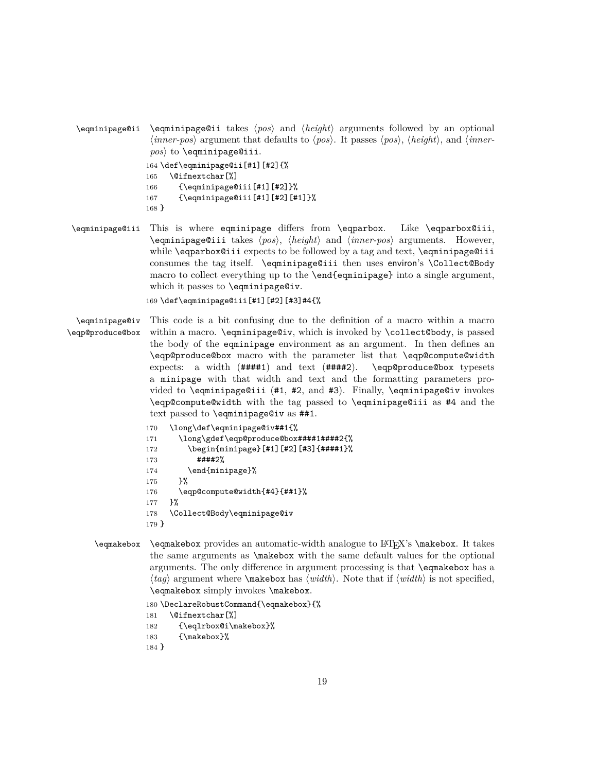```
\eqminipage@ii \eqminipage@ii takes \langle pos \rangle and \langle height \rangle arguments followed by an optional
                     \langle inner-pos \rangle argument that defaults to \langle pos \rangle. It passes \langle pos \rangle, \langle height \rangle, and \langle inner-
                    pos) to \eqminipage@iii.
                   164 \def\eqminipage@ii[#1][#2]{%
                   165 \@ifnextchar[%]
                   166 {\eqminipage@iii[#1][#2]}%
                   167 {\eqminipage@iii[#1][#2][#1]}%
                   168 }
```
\eqminipage@iii This is where eqminipage differs from \eqparbox. Like \eqparbox@iii, \eqminipage@iii takes h*pos*i, h*height*i and h*inner-pos*i arguments. However, while \eqparbox@iii expects to be followed by a tag and text, \eqminipage@iii consumes the tag itself. \eqminipage@iii then uses environ's \Collect@Body macro to collect everything up to the \end{eqminipage} into a single argument, which it passes to \eqminipage@iv.

```
169 \def\eqminipage@iii[#1][#2][#3]#4{%
```
\eqminipage@iv \eqp@produce@box This code is a bit confusing due to the definition of a macro within a macro within a macro. \eqminipage@iv, which is invoked by \collect@body, is passed the body of the eqminipage environment as an argument. In then defines an \eqp@produce@box macro with the parameter list that \eqp@compute@width expects: a width  $(\text{#} \# \# \# 1)$  and text  $(\text{#} \# \# \# 2)$ . \eqp@produce@box typesets a minipage with that width and text and the formatting parameters provided to \eqminipage@iii (#1, #2, and #3). Finally, \eqminipage@iv invokes \eqp@compute@width with the tag passed to \eqminipage@iii as #4 and the text passed to \eqminipage@iv as ##1.

```
170 \long\def\eqminipage@iv##1{%
171 \long\gdef\eqp@produce@box####1####2{%
172 \begin{minipage}[#1][#2][#3]{####1}%
173 ####2%
174 \end{minipage}%
175 }%
176 \eqp@compute@width{#4}{##1}%
177 }%
178 \Collect@Body\eqminipage@iv
179 }
```
\eqmakebox \eqmakebox provides an automatic-width analogue to LATEX's \makebox. It takes the same arguments as \makebox with the same default values for the optional arguments. The only difference in argument processing is that \eqmakebox has a  $\langle tag \rangle$  argument where **\makebox** has  $\langle width \rangle$ . Note that if  $\langle width \rangle$  is not specified, \eqmakebox simply invokes \makebox.

> \DeclareRobustCommand{\eqmakebox}{% \@ifnextchar[%] {\eqlrbox@i\makebox}% {\makebox}%

184 }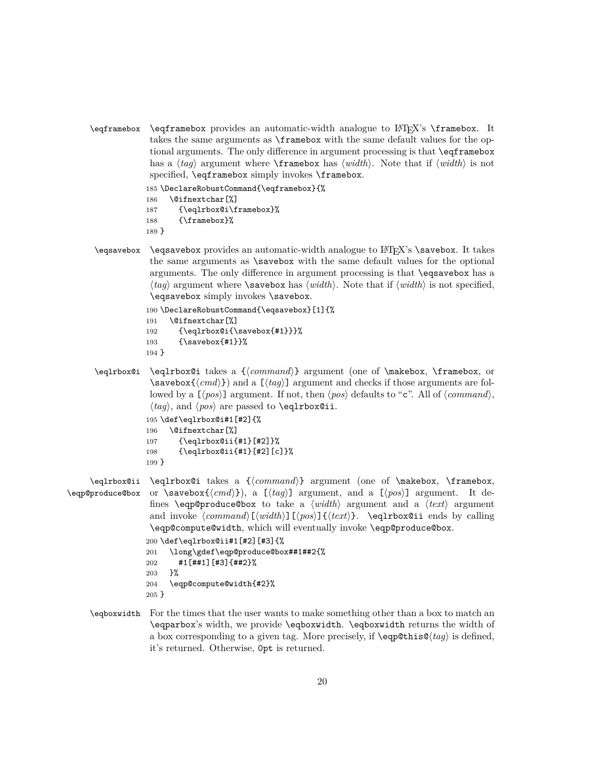\eqframebox \eqframebox provides an automatic-width analogue to LATEX's \framebox. It takes the same arguments as \framebox with the same default values for the optional arguments. The only difference in argument processing is that \eqframebox has a  $\langle tag \rangle$  argument where **\framebox** has  $\langle width \rangle$ . Note that if  $\langle width \rangle$  is not specified, \eqframebox simply invokes \framebox.

```
185 \DeclareRobustCommand{\eqframebox}{%
```

```
186 \@ifnextchar[%]
```

```
187 {\eqlrbox@i\framebox}%
```
- 188 {\framebox}%
- 189 }
- \eqsavebox \eqsavebox provides an automatic-width analogue to LATEX's \savebox. It takes the same arguments as \savebox with the same default values for the optional arguments. The only difference in argument processing is that \eqsavebox has a  $\langle tag \rangle$  argument where **\savebox** has  $\langle width \rangle$ . Note that if  $\langle width \rangle$  is not specified, \eqsavebox simply invokes \savebox.

```
190 \DeclareRobustCommand{\eqsavebox}[1]{%
191 \@ifnextchar[%]
192 {\eqlrbox@i{\savebox{#1}}}%
193 {\savebox{#1}}%
194 }
```
\eqlrbox@i \eqlrbox@i takes a {\*command*}} argument (one of \makebox, \framebox, or  $\simeq$   $\simeq$   $\frac{h}{\cdot}$ ) and a  $\lceil \frac{h}{aq} \rceil$  argument and checks if those arguments are followed by a  $[\langle pos \rangle]$  argument. If not, then  $\langle pos \rangle$  defaults to "c". All of  $\langle command \rangle$ ,  $\langle tag \rangle$ , and  $\langle pos \rangle$  are passed to **\eqlrbox@ii.** 195 \def\eqlrbox@i#1[#2]{%

```
196 \@ifnextchar[%]
197 {\eqlrbox@ii{#1}[#2]}%
198 {\eqlrbox@ii{#1}[#2][c]}%
199 }
```

```
\eqlrbox@ii
\eqp@produce@box
                      \eqlrbox@i takes a {\command}} argument (one of \makebox, \framebox,
                      or \savebox{\langle cmd \rangle}), a [\langle tag \rangle] argument, and a [\langle pos \rangle] argument. It de-
                       fines \eqp@produce@box to take a \langle width \rangle argument and a \langle text \rangle argument
                       and invoke \langle command \rangle[\langle width \rangle] [\langle post \rangle] \cdot \equiv \negthinspace \langle part \rangle. \eqlrbox@ii ends by calling
                       \eqp@compute@width, which will eventually invoke \eqp@produce@box.
                      200 \def\eqlrbox@ii#1[#2][#3]{%
                     201 \long\gdef\eqp@produce@box##1##2{%
```

```
202 #1[##1][#3]{##2}%
203 }%
204 \eqp@compute@width{#2}%
205 }
```
\eqboxwidth For the times that the user wants to make something other than a box to match an \eqparbox's width, we provide \eqboxwidth. \eqboxwidth returns the width of a box corresponding to a given tag. More precisely, if  $\equiv \frac{\Phi}{\text{diag}}\$  is defined, it's returned. Otherwise, 0pt is returned.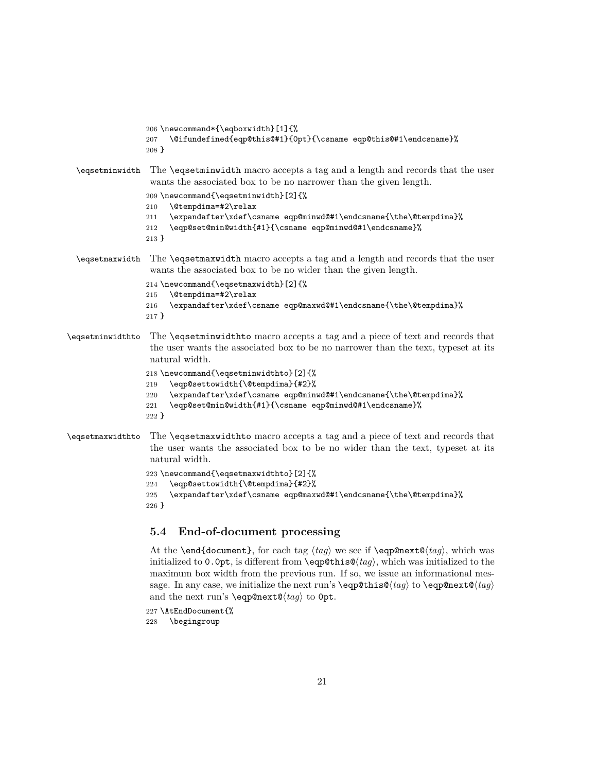```
206 \newcommand*{\eqboxwidth}[1]{%
                 207 \@ifundefined{eqp@this@#1}{0pt}{\csname eqp@this@#1\endcsname}%
                 208 }
 \eqsetminwidth The \eqsetminwidth macro accepts a tag and a length and records that the user
                  wants the associated box to be no narrower than the given length.
                 209 \newcommand{\eqsetminwidth}[2]{%
                 210 \@tempdima=#2\relax
                 211 \expandafter\xdef\csname eqp@minwd@#1\endcsname{\the\@tempdima}%
                 212 \eqp@set@min@width{#1}{\csname eqp@minwd@#1\endcsname}%
                 213 }
 \eqsetmaxwidth The \eqsetmaxwidth macro accepts a tag and a length and records that the user
                  wants the associated box to be no wider than the given length.
                 214 \newcommand{\eqsetmaxwidth}[2]{%
                 215 \@tempdima=#2\relax
                 216 \expandafter\xdef\csname eqp@maxwd@#1\endcsname{\the\@tempdima}%
                 217 }
\eqsetminwidthto The \eqsetminwidthto macro accepts a tag and a piece of text and records that
                  the user wants the associated box to be no narrower than the text, typeset at its
                  natural width.
                 218 \newcommand{\eqsetminwidthto}[2]{%
                 219 \eqp@settowidth{\@tempdima}{#2}%
```

```
220 \expandafter\xdef\csname eqp@minwd@#1\endcsname{\the\@tempdima}%
```
- 221 \eqp@set@min@width{#1}{\csname eqp@minwd@#1\endcsname}%
- 222 }
- \eqsetmaxwidthto The \eqsetmaxwidthto macro accepts a tag and a piece of text and records that the user wants the associated box to be no wider than the text, typeset at its natural width.

```
223 \newcommand{\eqsetmaxwidthto}[2]{%
224 \eqp@settowidth{\@tempdima}{#2}%
225 \expandafter\xdef\csname eqp@maxwd@#1\endcsname{\the\@tempdima}%
226 }
```
### **5.4 End-of-document processing**

At the **\end{document}**, for each tag  $\langle tag \rangle$  we see if **\eqp@next@** $\langle tag \rangle$ , which was initialized to 0.0pt, is different from  $\qquad$ eqp@this@ $\langle tag \rangle$ , which was initialized to the maximum box width from the previous run. If so, we issue an informational message. In any case, we initialize the next run's  $\eqref{tag} to \eqref{tag}$ and the next run's **\eqp@next@** $\langle tag \rangle$  to 0pt.

```
227 \AtEndDocument{%
```
228 \begingroup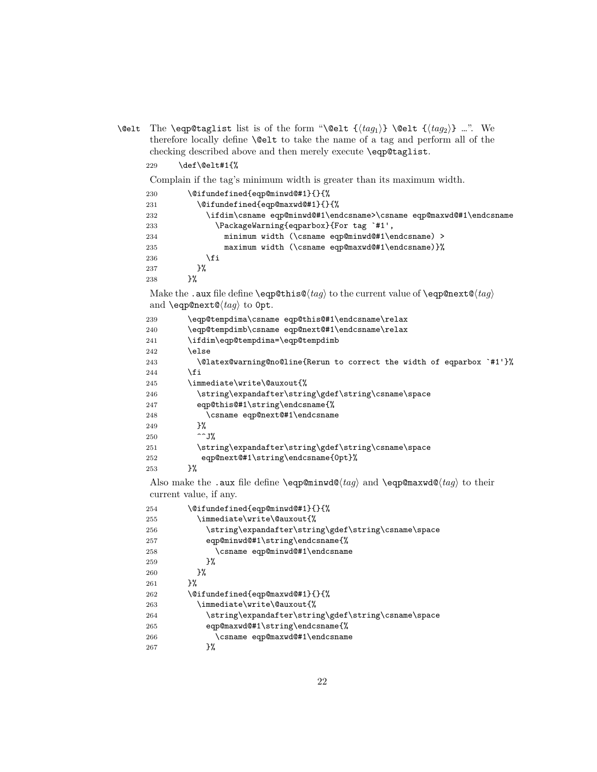\@elt The \eqp@taglist list is of the form "\@elt  $\{\langle tag_1 \rangle\}$  \@elt  $\{\langle tag_2 \rangle\}$  …". We therefore locally define  $\Diamond$ elt to take the name of a tag and perform all of the checking described above and then merely execute \eqp@taglist.

\def\@elt#1{%

Complain if the tag's minimum width is greater than its maximum width.

| \@ifundefined{eqp@minwd@#1}{}{%<br>230                                            |  |  |
|-----------------------------------------------------------------------------------|--|--|
| \@ifundefined{eqp@maxwd@#1}{}{%<br>231                                            |  |  |
| \ifdim\csname eqp@minwd@#1\endcsname>\csname eqp@maxwd@#1\endcsname<br>232        |  |  |
| \PackageWarning{eqparbox}{For tag `#1',<br>233                                    |  |  |
| minimum width (\csname eqp@minwd@#1\endcsname) ><br>234                           |  |  |
| maximum width (\csname eqp@maxwd@#1\endcsname)}%<br>235                           |  |  |
| \fi<br>236                                                                        |  |  |
| }‰<br>237                                                                         |  |  |
| ን%<br>238                                                                         |  |  |
| Make the .aux file define \eqp@this@(tag) to the current value of \eqp@next@(tag) |  |  |
| and <b>\eqp@next@</b> $\langle tag \rangle$ to Opt.                               |  |  |
| \eqp@tempdima\csname eqp@this@#1\endcsname\relax<br>239                           |  |  |
| \eqp@tempdimb\csname eqp@next@#1\endcsname\relax<br>240                           |  |  |
| \ifdim\eqp@tempdima=\eqp@tempdimb<br>241                                          |  |  |
| \else<br>242                                                                      |  |  |
| \@latex@warning@no@line{Rerun to correct the width of eqparbox `#1'}%<br>243      |  |  |
| \fi<br>244                                                                        |  |  |
| \immediate\write\@auxout{%<br>245                                                 |  |  |
| \string\expandafter\string\gdef\string\csname\space<br>246                        |  |  |
| eqp@this@#1\string\endcsname{%<br>247                                             |  |  |
| \csname eqp@next@#1\endcsname<br>248                                              |  |  |
| ን%<br>249                                                                         |  |  |
| $\sim$ J%<br>250                                                                  |  |  |
| \string\expandafter\string\gdef\string\csname\space<br>251                        |  |  |
| eqp@next@#1\string\endcsname{0pt}%<br>252                                         |  |  |
| }‰<br>253                                                                         |  |  |
| Also make the .aux file define \eqp@minwd@(tag) and \eqp@maxwd@(tag) to their     |  |  |
| current value, if any.                                                            |  |  |

| 254 | \@ifundefined{eqp@minwd@#1}{}{%                     |
|-----|-----------------------------------------------------|
| 255 | \immediate\write\@auxout{%                          |
| 256 | \string\expandafter\string\gdef\string\csname\space |
| 257 | eqp@minwd@#1\string\endcsname{%                     |
| 258 | \csname eqp@minwd@#1\endcsname                      |
| 259 | ጉ%                                                  |
| 260 | ጉ%                                                  |
| 261 | ጉ%                                                  |
| 262 | \@ifundefined{eqp@maxwd@#1}{}{%                     |
| 263 | \immediate\write\@auxout{%                          |
| 264 | \string\expandafter\string\gdef\string\csname\space |
| 265 | eqp@maxwd@#1\string\endcsname{%                     |
| 266 | \csname eqp@maxwd@#1\endcsname                      |
| 267 | ን%                                                  |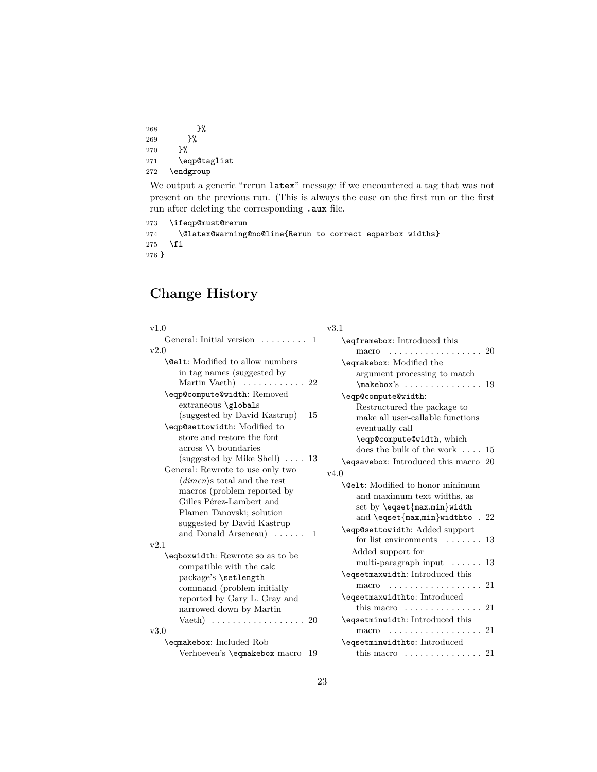<span id="page-22-0"></span>268  $}$  }% 269 }% 270 }% 271 \eqp@taglist  $272$   $\quad$   $\quad$ 

We output a generic "rerun latex" message if we encountered a tag that was not present on the previous run. (This is always the case on the first run or the first run after deleting the corresponding .aux file.

```
273 \ifeqp@must@rerun
274 \@latex@warning@no@line{Rerun to correct eqparbox widths}
275 \ifmmode \frac{1}{1} \else 275 \fi \fi
276 }
```
# **Change History**

| v1.0                                                                                                                                                                                                                                                                                      | v3.1                                                                                                                                                                                                                                                                |
|-------------------------------------------------------------------------------------------------------------------------------------------------------------------------------------------------------------------------------------------------------------------------------------------|---------------------------------------------------------------------------------------------------------------------------------------------------------------------------------------------------------------------------------------------------------------------|
| General: Initial version<br>$\mathbf{1}$                                                                                                                                                                                                                                                  | \eqframebox: Introduced this                                                                                                                                                                                                                                        |
| v2.0                                                                                                                                                                                                                                                                                      | $macro \dots \dots \dots \dots \dots \dots$<br>-20                                                                                                                                                                                                                  |
| <b>Nelt:</b> Modified to allow numbers<br>in tag names (suggested by<br>Martin Vaeth $) \dots \dots \dots \dots 22$<br>\eqp@compute@width: Removed<br>extraneous \globals<br>(suggested by David Kastrup)<br>15<br>\eqp@settowidth: Modified to<br>store and restore the font             | \eqmakebox: Modified the<br>argument processing to match<br>\eqp@compute@width:<br>Restructured the package to<br>make all user-callable functions<br>eventually call<br>\eqp@compute@width, which                                                                  |
| $across \setminus \{boundedaries\}$                                                                                                                                                                                                                                                       | does the bulk of the work $\dots$ 15                                                                                                                                                                                                                                |
| (suggested by Mike Shell) $\ldots$ 13<br>General: Rewrote to use only two<br>$\langle$ dimen $\rangle$ s total and the rest<br>macros (problem reported by<br>Gilles Pérez-Lambert and<br>Plamen Tanovski; solution<br>suggested by David Kastrup<br>and Donald Arseneau $\ldots$ .<br>-1 | \eqsavebox: Introduced this macro 20<br>v4.0<br><b>Nelt:</b> Modified to honor minimum<br>and maximum text widths, as<br>set by \eqset{max,min}width<br>and \eqset{max,min}widthto . 22<br>\eqp@settowidth: Added support<br>for list environments $\dots \dots 13$ |
| v2.1                                                                                                                                                                                                                                                                                      | Added support for                                                                                                                                                                                                                                                   |
| \eqboxwidth: Rewrote so as to be<br>compatible with the calc<br>package's \setlength                                                                                                                                                                                                      | multi-paragraph input $\dots \dots$ 13<br>\eqsetmaxwidth: Introduced this                                                                                                                                                                                           |
| command (problem initially                                                                                                                                                                                                                                                                | 21<br>macro                                                                                                                                                                                                                                                         |
| reported by Gary L. Gray and<br>narrowed down by Martin<br>Vaeth $) \ldots \ldots \ldots \ldots \ldots \ldots 20$                                                                                                                                                                         | \eqsetmaxwidthto: Introduced<br>this macro $\dots \dots \dots \dots$<br>21<br>\eqsetminwidth: Introduced this                                                                                                                                                       |
| v3.0                                                                                                                                                                                                                                                                                      | $macro \dots \dots \dots \dots \dots \dots$<br>21                                                                                                                                                                                                                   |
| \eqmakebox: Included Rob<br>Verhoeven's \eqmakebox macro<br>-19                                                                                                                                                                                                                           | \eqsetminwidthto: Introduced<br>this macro $\dots \dots \dots \dots \dots 21$                                                                                                                                                                                       |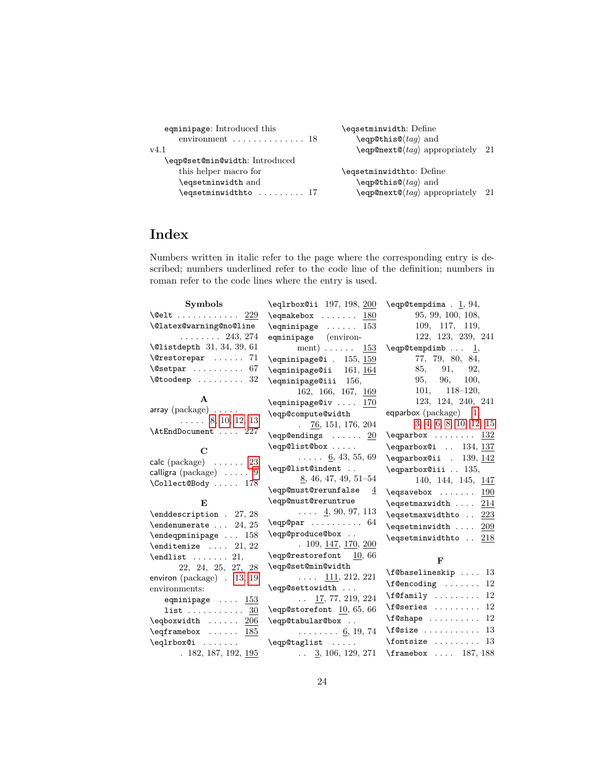| eqminipage: Introduced this                   | \eqsetminwidth: Define                                |  |
|-----------------------------------------------|-------------------------------------------------------|--|
| environment $\dots\dots\dots\dots\dots$ 18    | \eqp@this@ $\langle tag \rangle$ and                  |  |
| v4.1                                          | $\begin{cases} \text{e} \rightarrow 21 \end{cases}$   |  |
| \eqp@set@min@width: Introduced                |                                                       |  |
| this helper macro for                         | \eqsetminwidthto: Define                              |  |
| \eqsetminwidth and                            | \eqp@this@ $\langle tag \rangle$ and                  |  |
| $\texttt{\textbackslash}$ eqsetminwidthto  17 | $\begin{cases} \text{leq} \rightarrow 21 \end{cases}$ |  |

# **Index**

Numbers written in italic refer to the page where the corresponding entry is described; numbers underlined refer to the code line of the definition; numbers in roman refer to the code lines where the entry is used.

| 95, 99, 100, 108,<br>$\qquad$<br>109, 117, 119,<br>$\qquad \qquad \ldots 153$<br>122, 123, 239, 241<br>$\ldots \ldots \ldots 243, 274$<br>eqminipage (environ-<br>ment) $\ldots$ $\ldots$ 153<br>$\qquad$ \eqp@tempdimb  1,<br>77, 79, 80, 84,<br>$\equiv$ 155, 159<br>85, 91, 92,<br>$\equiv$ 161, 164<br>$\texttt{\textbackslash}$ Ctoodeep  32<br>96, 100,<br>95,<br>$\equiv$ 156,<br>$101, 118 - 120,$<br>162, 166, 167, 169<br>A<br>123, 124, 240, 241<br>$\equiv$ \eqminipage@iv  170<br>array (package)<br>eqparbox $(\text{package})$ 1,<br>\eqp@compute@width<br>$\ldots$ 8, 10, 12, 13<br>3, 4, 6, 8, 10, 12, 15<br>$\frac{76}{120}$ , 151, 176, 204<br>\AtEndDocument  227<br>\eqparbox $\dots \dots$ 132<br>$\leqslant$ $\ldots$ $\leqslant$ $\frac{20}{20}$<br>\eqp@list@box<br>\eqparbox@i  134, 137<br>С<br>$\ldots$ 6, 43, 55, 69<br>\eqparbox@ii . 139, 142<br>$\mathsf{calc}\;(\mathsf{package}) \quad \ldots \quad 23$<br>\eqp@list@indent<br>$\qquad$<br>calligra ( $\text{package}$ ) $\ldots$ . $9$<br>$8, 46, 47, 49, 51-54$<br>\Collect@Body  178<br>\eqp@must@rerunfalse<br>4<br>$\leqslant$ $\leqslant$ $\leqslant$ $\cdots$ $\leqslant$ $\frac{190}{20}$<br>\eqp@must@reruntrue<br>E<br>\eqsetmaxwidth $214$<br>$\ldots$ 4, 90, 97, 113<br>\eqsetmaxwidthto  223<br>$\qquad$<br>$\text{e}$ qsetminwidth $209$<br>\eqp@produce@box<br>\eqsetminwidthto  218<br>. 109, 147, 170, 200<br>\eqp@restorefont 10,66<br>$\end{list} \dots 21,$<br>$\mathbf{F}$<br>\eqp@set@min@width<br>22, 24, 25, 27, 28<br>$\texttt{\texttt{[C}}$ 13<br>$\ldots$ 111, 212, 221<br>environ (package) . 13, 19<br>$\setminus$ f@encoding  12<br>\eqp@settowidth<br>environments:<br>$\texttt{if}$ 12<br>$\ldots$ 17, 77, 219, 224<br>eqminipage $\ldots$ 153<br>$\setminus$ f@series  12<br>\eqp@storefont 10, 65, 66<br>list $\underline{30}$<br>$\texttt{if@shape} \dots \dots \dots 12$<br>\eqp@tabular@box<br>$\eqref{eq:1} \eqref{eq:1} \eqref{eq:1} \eqref{eq:1} \eqref{eq:1} \eqref{eq:1} \eqref{eq:1} \eqref{eq:1} \eqref{eq:1} \eqref{eq:1} \eqref{eq:1} \eqref{eq:1} \eqref{eq:1} \eqref{eq:1} \eqref{eq:1} \eqref{eq:1} \eqref{eq:1} \eqref{eq:1} \eqref{eq:1} \eqref{eq:1} \eqref{eq:1} \eqref{eq:1} \eqref{eq:1} \eqref{eq:1} \eqref{eq:1} \eqref{eq:1} \eqref{eq:1} \eqref{$<br>$\texttt{!} \cdot \ldots \cdot 13$<br>$\eqreframebox \ldots \ldots \quad \frac{185}{185}$<br>$\ldots \ldots 6, 19, 74$<br>$\forall$ fontsize  13<br>\eqlrbox@i<br>\eqp@taglist<br>$\therefore$ 3, 106, 129, 271<br>$\frac{box}{187,188}$<br>.182, 187, 192, 195 | Symbols                                            | \eqlrbox@ii 197, 198, 200 | $\begin{bmatrix} \text{eqp@tempdim} & 1, 94, \end{bmatrix}$ |
|-------------------------------------------------------------------------------------------------------------------------------------------------------------------------------------------------------------------------------------------------------------------------------------------------------------------------------------------------------------------------------------------------------------------------------------------------------------------------------------------------------------------------------------------------------------------------------------------------------------------------------------------------------------------------------------------------------------------------------------------------------------------------------------------------------------------------------------------------------------------------------------------------------------------------------------------------------------------------------------------------------------------------------------------------------------------------------------------------------------------------------------------------------------------------------------------------------------------------------------------------------------------------------------------------------------------------------------------------------------------------------------------------------------------------------------------------------------------------------------------------------------------------------------------------------------------------------------------------------------------------------------------------------------------------------------------------------------------------------------------------------------------------------------------------------------------------------------------------------------------------------------------------------------------------------------------------------------------------------------------------------------------------------------------------------------------------------------------------------------------------------------------------------------------------------------------------------------------------------------------------------------------------------------------------------------------------------------------------------------------------------------------------------------------------------------------------------------------------------------------------------------------------------------------------------------------|----------------------------------------------------|---------------------------|-------------------------------------------------------------|
|                                                                                                                                                                                                                                                                                                                                                                                                                                                                                                                                                                                                                                                                                                                                                                                                                                                                                                                                                                                                                                                                                                                                                                                                                                                                                                                                                                                                                                                                                                                                                                                                                                                                                                                                                                                                                                                                                                                                                                                                                                                                                                                                                                                                                                                                                                                                                                                                                                                                                                                                                                   | $\text{Qelt} \dots \dots \dots \dots \frac{229}{}$ |                           |                                                             |
|                                                                                                                                                                                                                                                                                                                                                                                                                                                                                                                                                                                                                                                                                                                                                                                                                                                                                                                                                                                                                                                                                                                                                                                                                                                                                                                                                                                                                                                                                                                                                                                                                                                                                                                                                                                                                                                                                                                                                                                                                                                                                                                                                                                                                                                                                                                                                                                                                                                                                                                                                                   | \@latex@warning@no@line                            |                           |                                                             |
|                                                                                                                                                                                                                                                                                                                                                                                                                                                                                                                                                                                                                                                                                                                                                                                                                                                                                                                                                                                                                                                                                                                                                                                                                                                                                                                                                                                                                                                                                                                                                                                                                                                                                                                                                                                                                                                                                                                                                                                                                                                                                                                                                                                                                                                                                                                                                                                                                                                                                                                                                                   |                                                    |                           |                                                             |
|                                                                                                                                                                                                                                                                                                                                                                                                                                                                                                                                                                                                                                                                                                                                                                                                                                                                                                                                                                                                                                                                                                                                                                                                                                                                                                                                                                                                                                                                                                                                                                                                                                                                                                                                                                                                                                                                                                                                                                                                                                                                                                                                                                                                                                                                                                                                                                                                                                                                                                                                                                   | $\text{Qlistdepth} \quad 31, 34, 39, 61$           |                           |                                                             |
|                                                                                                                                                                                                                                                                                                                                                                                                                                                                                                                                                                                                                                                                                                                                                                                                                                                                                                                                                                                                                                                                                                                                                                                                                                                                                                                                                                                                                                                                                                                                                                                                                                                                                                                                                                                                                                                                                                                                                                                                                                                                                                                                                                                                                                                                                                                                                                                                                                                                                                                                                                   | $\text{Perstorepar} \dots \dots \quad 71$          |                           |                                                             |
|                                                                                                                                                                                                                                                                                                                                                                                                                                                                                                                                                                                                                                                                                                                                                                                                                                                                                                                                                                                                                                                                                                                                                                                                                                                                                                                                                                                                                                                                                                                                                                                                                                                                                                                                                                                                                                                                                                                                                                                                                                                                                                                                                                                                                                                                                                                                                                                                                                                                                                                                                                   | $\texttt{\textbackslash} 67$                       |                           |                                                             |
|                                                                                                                                                                                                                                                                                                                                                                                                                                                                                                                                                                                                                                                                                                                                                                                                                                                                                                                                                                                                                                                                                                                                                                                                                                                                                                                                                                                                                                                                                                                                                                                                                                                                                                                                                                                                                                                                                                                                                                                                                                                                                                                                                                                                                                                                                                                                                                                                                                                                                                                                                                   |                                                    |                           |                                                             |
|                                                                                                                                                                                                                                                                                                                                                                                                                                                                                                                                                                                                                                                                                                                                                                                                                                                                                                                                                                                                                                                                                                                                                                                                                                                                                                                                                                                                                                                                                                                                                                                                                                                                                                                                                                                                                                                                                                                                                                                                                                                                                                                                                                                                                                                                                                                                                                                                                                                                                                                                                                   |                                                    |                           |                                                             |
|                                                                                                                                                                                                                                                                                                                                                                                                                                                                                                                                                                                                                                                                                                                                                                                                                                                                                                                                                                                                                                                                                                                                                                                                                                                                                                                                                                                                                                                                                                                                                                                                                                                                                                                                                                                                                                                                                                                                                                                                                                                                                                                                                                                                                                                                                                                                                                                                                                                                                                                                                                   |                                                    |                           |                                                             |
|                                                                                                                                                                                                                                                                                                                                                                                                                                                                                                                                                                                                                                                                                                                                                                                                                                                                                                                                                                                                                                                                                                                                                                                                                                                                                                                                                                                                                                                                                                                                                                                                                                                                                                                                                                                                                                                                                                                                                                                                                                                                                                                                                                                                                                                                                                                                                                                                                                                                                                                                                                   |                                                    |                           |                                                             |
|                                                                                                                                                                                                                                                                                                                                                                                                                                                                                                                                                                                                                                                                                                                                                                                                                                                                                                                                                                                                                                                                                                                                                                                                                                                                                                                                                                                                                                                                                                                                                                                                                                                                                                                                                                                                                                                                                                                                                                                                                                                                                                                                                                                                                                                                                                                                                                                                                                                                                                                                                                   |                                                    |                           |                                                             |
|                                                                                                                                                                                                                                                                                                                                                                                                                                                                                                                                                                                                                                                                                                                                                                                                                                                                                                                                                                                                                                                                                                                                                                                                                                                                                                                                                                                                                                                                                                                                                                                                                                                                                                                                                                                                                                                                                                                                                                                                                                                                                                                                                                                                                                                                                                                                                                                                                                                                                                                                                                   |                                                    |                           |                                                             |
|                                                                                                                                                                                                                                                                                                                                                                                                                                                                                                                                                                                                                                                                                                                                                                                                                                                                                                                                                                                                                                                                                                                                                                                                                                                                                                                                                                                                                                                                                                                                                                                                                                                                                                                                                                                                                                                                                                                                                                                                                                                                                                                                                                                                                                                                                                                                                                                                                                                                                                                                                                   |                                                    |                           |                                                             |
|                                                                                                                                                                                                                                                                                                                                                                                                                                                                                                                                                                                                                                                                                                                                                                                                                                                                                                                                                                                                                                                                                                                                                                                                                                                                                                                                                                                                                                                                                                                                                                                                                                                                                                                                                                                                                                                                                                                                                                                                                                                                                                                                                                                                                                                                                                                                                                                                                                                                                                                                                                   |                                                    |                           |                                                             |
|                                                                                                                                                                                                                                                                                                                                                                                                                                                                                                                                                                                                                                                                                                                                                                                                                                                                                                                                                                                                                                                                                                                                                                                                                                                                                                                                                                                                                                                                                                                                                                                                                                                                                                                                                                                                                                                                                                                                                                                                                                                                                                                                                                                                                                                                                                                                                                                                                                                                                                                                                                   |                                                    |                           |                                                             |
|                                                                                                                                                                                                                                                                                                                                                                                                                                                                                                                                                                                                                                                                                                                                                                                                                                                                                                                                                                                                                                                                                                                                                                                                                                                                                                                                                                                                                                                                                                                                                                                                                                                                                                                                                                                                                                                                                                                                                                                                                                                                                                                                                                                                                                                                                                                                                                                                                                                                                                                                                                   |                                                    |                           | 140, 144, 145, 147                                          |
|                                                                                                                                                                                                                                                                                                                                                                                                                                                                                                                                                                                                                                                                                                                                                                                                                                                                                                                                                                                                                                                                                                                                                                                                                                                                                                                                                                                                                                                                                                                                                                                                                                                                                                                                                                                                                                                                                                                                                                                                                                                                                                                                                                                                                                                                                                                                                                                                                                                                                                                                                                   |                                                    |                           |                                                             |
|                                                                                                                                                                                                                                                                                                                                                                                                                                                                                                                                                                                                                                                                                                                                                                                                                                                                                                                                                                                                                                                                                                                                                                                                                                                                                                                                                                                                                                                                                                                                                                                                                                                                                                                                                                                                                                                                                                                                                                                                                                                                                                                                                                                                                                                                                                                                                                                                                                                                                                                                                                   |                                                    |                           |                                                             |
|                                                                                                                                                                                                                                                                                                                                                                                                                                                                                                                                                                                                                                                                                                                                                                                                                                                                                                                                                                                                                                                                                                                                                                                                                                                                                                                                                                                                                                                                                                                                                                                                                                                                                                                                                                                                                                                                                                                                                                                                                                                                                                                                                                                                                                                                                                                                                                                                                                                                                                                                                                   | \enddescription . 27, 28                           |                           |                                                             |
|                                                                                                                                                                                                                                                                                                                                                                                                                                                                                                                                                                                                                                                                                                                                                                                                                                                                                                                                                                                                                                                                                                                                                                                                                                                                                                                                                                                                                                                                                                                                                                                                                                                                                                                                                                                                                                                                                                                                                                                                                                                                                                                                                                                                                                                                                                                                                                                                                                                                                                                                                                   | $\end{emp}$ endenumerate  24, 25                   |                           |                                                             |
|                                                                                                                                                                                                                                                                                                                                                                                                                                                                                                                                                                                                                                                                                                                                                                                                                                                                                                                                                                                                                                                                                                                                                                                                                                                                                                                                                                                                                                                                                                                                                                                                                                                                                                                                                                                                                                                                                                                                                                                                                                                                                                                                                                                                                                                                                                                                                                                                                                                                                                                                                                   | $\end{eq}$ and $\text{pminipage}$ 158              |                           |                                                             |
|                                                                                                                                                                                                                                                                                                                                                                                                                                                                                                                                                                                                                                                                                                                                                                                                                                                                                                                                                                                                                                                                                                                                                                                                                                                                                                                                                                                                                                                                                                                                                                                                                                                                                                                                                                                                                                                                                                                                                                                                                                                                                                                                                                                                                                                                                                                                                                                                                                                                                                                                                                   | $\end{itemize} \dots 21, 22$                       |                           |                                                             |
|                                                                                                                                                                                                                                                                                                                                                                                                                                                                                                                                                                                                                                                                                                                                                                                                                                                                                                                                                                                                                                                                                                                                                                                                                                                                                                                                                                                                                                                                                                                                                                                                                                                                                                                                                                                                                                                                                                                                                                                                                                                                                                                                                                                                                                                                                                                                                                                                                                                                                                                                                                   |                                                    |                           |                                                             |
|                                                                                                                                                                                                                                                                                                                                                                                                                                                                                                                                                                                                                                                                                                                                                                                                                                                                                                                                                                                                                                                                                                                                                                                                                                                                                                                                                                                                                                                                                                                                                                                                                                                                                                                                                                                                                                                                                                                                                                                                                                                                                                                                                                                                                                                                                                                                                                                                                                                                                                                                                                   |                                                    |                           |                                                             |
|                                                                                                                                                                                                                                                                                                                                                                                                                                                                                                                                                                                                                                                                                                                                                                                                                                                                                                                                                                                                                                                                                                                                                                                                                                                                                                                                                                                                                                                                                                                                                                                                                                                                                                                                                                                                                                                                                                                                                                                                                                                                                                                                                                                                                                                                                                                                                                                                                                                                                                                                                                   |                                                    |                           |                                                             |
|                                                                                                                                                                                                                                                                                                                                                                                                                                                                                                                                                                                                                                                                                                                                                                                                                                                                                                                                                                                                                                                                                                                                                                                                                                                                                                                                                                                                                                                                                                                                                                                                                                                                                                                                                                                                                                                                                                                                                                                                                                                                                                                                                                                                                                                                                                                                                                                                                                                                                                                                                                   |                                                    |                           |                                                             |
|                                                                                                                                                                                                                                                                                                                                                                                                                                                                                                                                                                                                                                                                                                                                                                                                                                                                                                                                                                                                                                                                                                                                                                                                                                                                                                                                                                                                                                                                                                                                                                                                                                                                                                                                                                                                                                                                                                                                                                                                                                                                                                                                                                                                                                                                                                                                                                                                                                                                                                                                                                   |                                                    |                           |                                                             |
|                                                                                                                                                                                                                                                                                                                                                                                                                                                                                                                                                                                                                                                                                                                                                                                                                                                                                                                                                                                                                                                                                                                                                                                                                                                                                                                                                                                                                                                                                                                                                                                                                                                                                                                                                                                                                                                                                                                                                                                                                                                                                                                                                                                                                                                                                                                                                                                                                                                                                                                                                                   |                                                    |                           |                                                             |
|                                                                                                                                                                                                                                                                                                                                                                                                                                                                                                                                                                                                                                                                                                                                                                                                                                                                                                                                                                                                                                                                                                                                                                                                                                                                                                                                                                                                                                                                                                                                                                                                                                                                                                                                                                                                                                                                                                                                                                                                                                                                                                                                                                                                                                                                                                                                                                                                                                                                                                                                                                   |                                                    |                           |                                                             |
|                                                                                                                                                                                                                                                                                                                                                                                                                                                                                                                                                                                                                                                                                                                                                                                                                                                                                                                                                                                                                                                                                                                                                                                                                                                                                                                                                                                                                                                                                                                                                                                                                                                                                                                                                                                                                                                                                                                                                                                                                                                                                                                                                                                                                                                                                                                                                                                                                                                                                                                                                                   |                                                    |                           |                                                             |
|                                                                                                                                                                                                                                                                                                                                                                                                                                                                                                                                                                                                                                                                                                                                                                                                                                                                                                                                                                                                                                                                                                                                                                                                                                                                                                                                                                                                                                                                                                                                                                                                                                                                                                                                                                                                                                                                                                                                                                                                                                                                                                                                                                                                                                                                                                                                                                                                                                                                                                                                                                   |                                                    |                           |                                                             |
|                                                                                                                                                                                                                                                                                                                                                                                                                                                                                                                                                                                                                                                                                                                                                                                                                                                                                                                                                                                                                                                                                                                                                                                                                                                                                                                                                                                                                                                                                                                                                                                                                                                                                                                                                                                                                                                                                                                                                                                                                                                                                                                                                                                                                                                                                                                                                                                                                                                                                                                                                                   |                                                    |                           |                                                             |